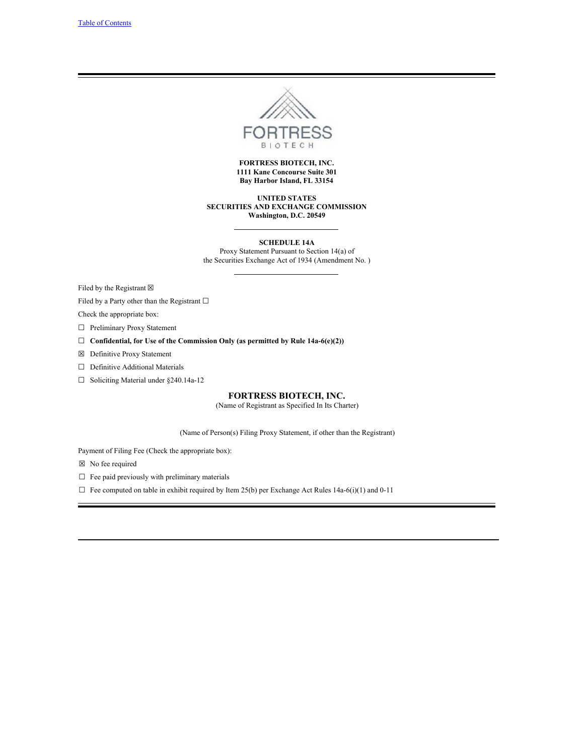

## **FORTRESS BIOTECH, INC. 1111 Kane Concourse Suite 301 Bay Harbor Island, FL 33154**

**UNITED STATES SECURITIES AND EXCHANGE COMMISSION Washington, D.C. 20549**

**SCHEDULE 14A** Proxy Statement Pursuant to Section 14(a) of the Securities Exchange Act of 1934 (Amendment No. )

Filed by the Registrant  $\boxtimes$ 

Filed by a Party other than the Registrant  $□$ 

Check the appropriate box:

☐ Preliminary Proxy Statement

- ☐ **Confidential, for Use of the Commission Only (as permitted by Rule 14a-6(e)(2))**
- ☒ Definitive Proxy Statement
- ☐ Definitive Additional Materials
- ☐ Soliciting Material under §240.14a-12

# **FORTRESS BIOTECH, INC.**

(Name of Registrant as Specified In Its Charter)

(Name of Person(s) Filing Proxy Statement, if other than the Registrant)

Payment of Filing Fee (Check the appropriate box):

☒ No fee required

 $\hfill\Box\;\;$  Fee paid previously with preliminary materials

 $\Box$  Fee computed on table in exhibit required by Item 25(b) per Exchange Act Rules 14a-6(i)(1) and 0-11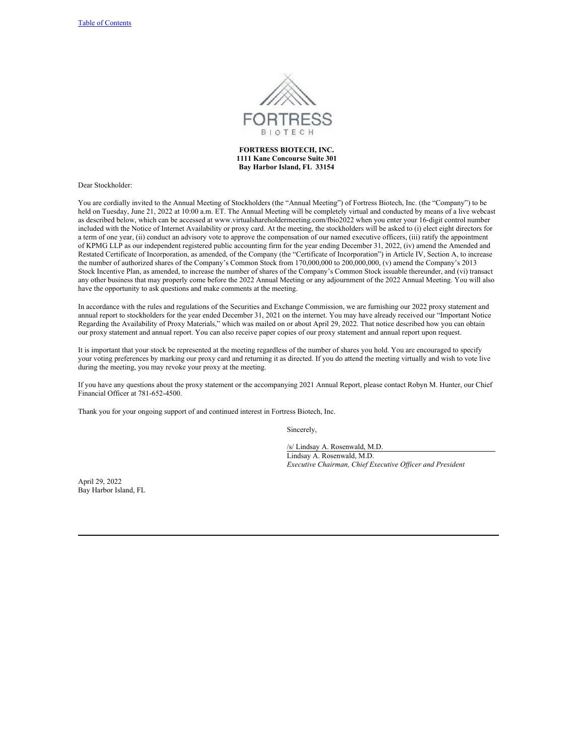

# **FORTRESS BIOTECH, INC. 1111 Kane Concourse Suite 301 Bay Harbor Island, FL 33154**

Dear Stockholder:

You are cordially invited to the Annual Meeting of Stockholders (the "Annual Meeting") of Fortress Biotech, Inc. (the "Company") to be held on Tuesday, June 21, 2022 at 10:00 a.m. ET. The Annual Meeting will be completely virtual and conducted by means of a live webcast as described below, which can be accessed at www.virtualshareholdermeeting.com/fbio2022 when you enter your 16-digit control number included with the Notice of Internet Availability or proxy card. At the meeting, the stockholders will be asked to (i) elect eight directors for a term of one year, (ii) conduct an advisory vote to approve the compensation of our named executive officers, (iii) ratify the appointment of KPMG LLP as our independent registered public accounting firm for the year ending December 31, 2022, (iv) amend the Amended and Restated Certificate of Incorporation, as amended, of the Company (the "Certificate of Incorporation") in Article IV, Section A, to increase the number of authorized shares of the Company's Common Stock from 170,000,000 to 200,000,000, (v) amend the Company's 2013 Stock Incentive Plan, as amended, to increase the number of shares of the Company's Common Stock issuable thereunder, and (vi) transact any other business that may properly come before the 2022 Annual Meeting or any adjournment of the 2022 Annual Meeting. You will also have the opportunity to ask questions and make comments at the meeting.

In accordance with the rules and regulations of the Securities and Exchange Commission, we are furnishing our 2022 proxy statement and annual report to stockholders for the year ended December 31, 2021 on the internet. You may have already received our "Important Notice Regarding the Availability of Proxy Materials," which was mailed on or about April 29, 2022. That notice described how you can obtain our proxy statement and annual report. You can also receive paper copies of our proxy statement and annual report upon request.

It is important that your stock be represented at the meeting regardless of the number of shares you hold. You are encouraged to specify your voting preferences by marking our proxy card and returning it as directed. If you do attend the meeting virtually and wish to vote live during the meeting, you may revoke your proxy at the meeting.

If you have any questions about the proxy statement or the accompanying 2021 Annual Report, please contact Robyn M. Hunter, our Chief Financial Officer at 781-652-4500.

Thank you for your ongoing support of and continued interest in Fortress Biotech, Inc.

Sincerely,

/s/ Lindsay A. Rosenwald, M.D. Lindsay A. Rosenwald, M.D. *Executive Chairman, Chief Executive Of icer and President*

April 29, 2022 Bay Harbor Island, FL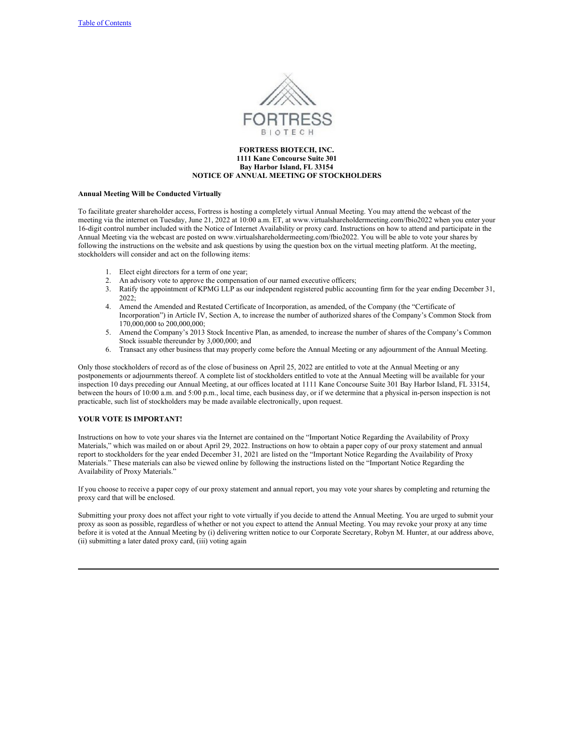

## **FORTRESS BIOTECH, INC. 1111 Kane Concourse Suite 301 Bay Harbor Island, FL 33154 NOTICE OF ANNUAL MEETING OF STOCKHOLDERS**

## **Annual Meeting Will be Conducted Virtually**

To facilitate greater shareholder access, Fortress is hosting a completely virtual Annual Meeting. You may attend the webcast of the meeting via the internet on Tuesday, June 21, 2022 at 10:00 a.m. ET, at www.virtualshareholdermeeting.com/fbio2022 when you enter your 16-digit control number included with the Notice of Internet Availability or proxy card. Instructions on how to attend and participate in the Annual Meeting via the webcast are posted on www.virtualshareholdermeeting.com/fbio2022. You will be able to vote your shares by following the instructions on the website and ask questions by using the question box on the virtual meeting platform. At the meeting, stockholders will consider and act on the following items:

- 1. Elect eight directors for a term of one year;
- 2. An advisory vote to approve the compensation of our named executive officers;
- 3. Ratify the appointment of KPMG LLP as our independent registered public accounting firm for the year ending December 31, 2022;
- 4. Amend the Amended and Restated Certificate of Incorporation, as amended, of the Company (the "Certificate of Incorporation") in Article IV, Section A, to increase the number of authorized shares of the Company's Common Stock from 170,000,000 to 200,000,000;
- 5. Amend the Company's 2013 Stock Incentive Plan, as amended, to increase the number of shares of the Company's Common Stock issuable thereunder by 3,000,000; and
- 6. Transact any other business that may properly come before the Annual Meeting or any adjournment of the Annual Meeting.

Only those stockholders of record as of the close of business on April 25, 2022 are entitled to vote at the Annual Meeting or any postponements or adjournments thereof. A complete list of stockholders entitled to vote at the Annual Meeting will be available for your inspection 10 days preceding our Annual Meeting, at our offices located at 1111 Kane Concourse Suite 301 Bay Harbor Island, FL 33154, between the hours of 10:00 a.m. and 5:00 p.m., local time, each business day, or if we determine that a physical in-person inspection is not practicable, such list of stockholders may be made available electronically, upon request.

# **YOUR VOTE IS IMPORTANT!**

Instructions on how to vote your shares via the Internet are contained on the "Important Notice Regarding the Availability of Proxy Materials," which was mailed on or about April 29, 2022. Instructions on how to obtain a paper copy of our proxy statement and annual report to stockholders for the year ended December 31, 2021 are listed on the "Important Notice Regarding the Availability of Proxy Materials." These materials can also be viewed online by following the instructions listed on the "Important Notice Regarding the Availability of Proxy Materials."

If you choose to receive a paper copy of our proxy statement and annual report, you may vote your shares by completing and returning the proxy card that will be enclosed.

Submitting your proxy does not affect your right to vote virtually if you decide to attend the Annual Meeting. You are urged to submit your proxy as soon as possible, regardless of whether or not you expect to attend the Annual Meeting. You may revoke your proxy at any time before it is voted at the Annual Meeting by (i) delivering written notice to our Corporate Secretary, Robyn M. Hunter, at our address above, (ii) submitting a later dated proxy card, (iii) voting again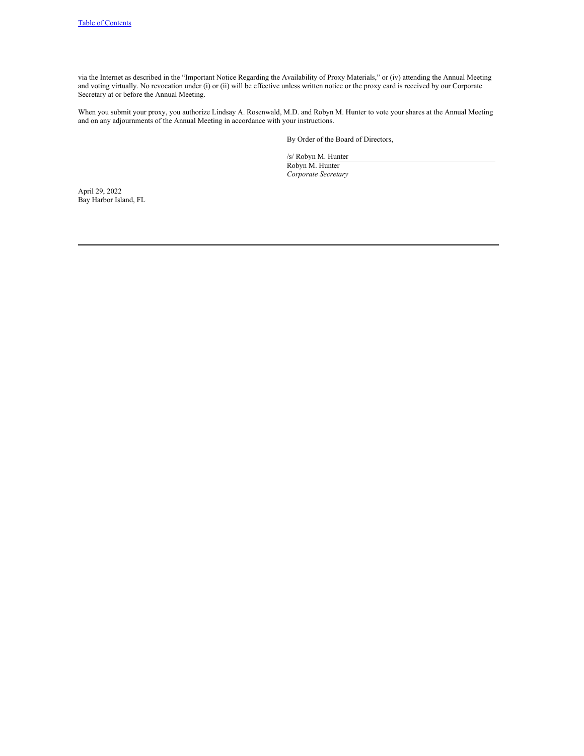via the Internet as described in the "Important Notice Regarding the Availability of Proxy Materials," or (iv) attending the Annual Meeting and voting virtually. No revocation under (i) or (ii) will be effective unless written notice or the proxy card is received by our Corporate Secretary at or before the Annual Meeting.

When you submit your proxy, you authorize Lindsay A. Rosenwald, M.D. and Robyn M. Hunter to vote your shares at the Annual Meeting and on any adjournments of the Annual Meeting in accordance with your instructions.

By Order of the Board of Directors,

/s/ Robyn M. Hunter Robyn M. Hunter *Corporate Secretary*

April 29, 2022 Bay Harbor Island, FL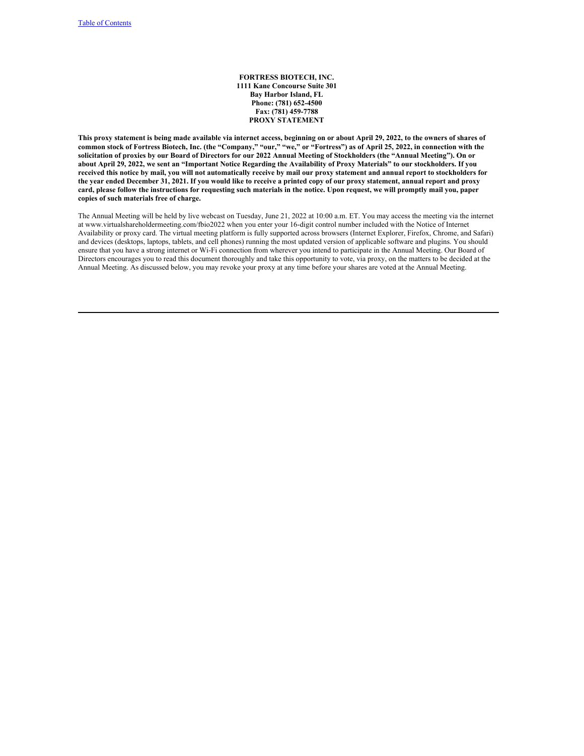**FORTRESS BIOTECH, INC. 1111 Kane Concourse Suite 301 Bay Harbor Island, FL Phone: (781) 652-4500 Fax: (781) 459-7788 PROXY STATEMENT**

This proxy statement is being made available via internet access, beginning on or about April 29, 2022, to the owners of shares of common stock of Fortress Biotech, Inc. (the "Company," "our," "we," or "Fortress") as of April 25, 2022, in connection with the solicitation of proxies by our Board of Directors for our 2022 Annual Meeting of Stockholders (the "Annual Meeting"). On or about April 29, 2022, we sent an "Important Notice Regarding the Availability of Proxy Materials" to our stockholders. If you received this notice by mail, you will not automatically receive by mail our proxy statement and annual report to stockholders for the year ended December 31, 2021. If you would like to receive a printed copy of our proxy statement, annual report and proxy card, please follow the instructions for requesting such materials in the notice. Upon request, we will promptly mail you, paper **copies of such materials free of charge.**

The Annual Meeting will be held by live webcast on Tuesday, June 21, 2022 at 10:00 a.m. ET. You may access the meeting via the internet at www.virtualshareholdermeeting.com/fbio2022 when you enter your 16-digit control number included with the Notice of Internet Availability or proxy card. The virtual meeting platform is fully supported across browsers (Internet Explorer, Firefox, Chrome, and Safari) and devices (desktops, laptops, tablets, and cell phones) running the most updated version of applicable software and plugins. You should ensure that you have a strong internet or Wi-Fi connection from wherever you intend to participate in the Annual Meeting. Our Board of Directors encourages you to read this document thoroughly and take this opportunity to vote, via proxy, on the matters to be decided at the Annual Meeting. As discussed below, you may revoke your proxy at any time before your shares are voted at the Annual Meeting.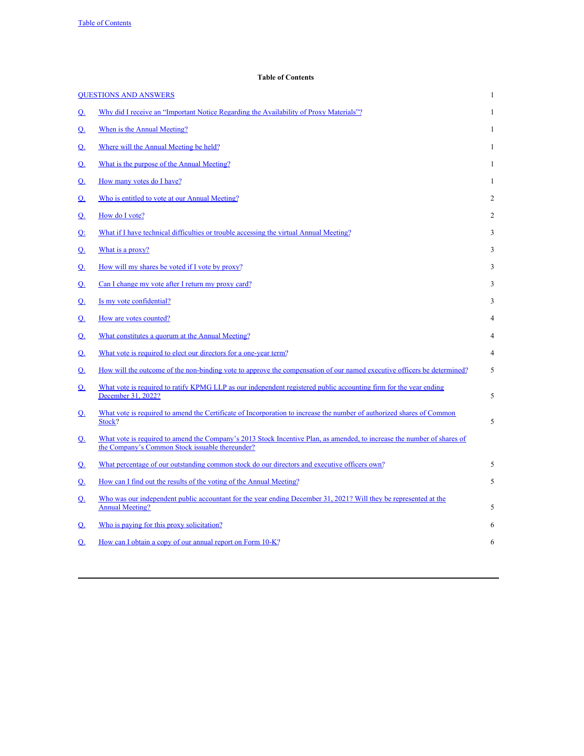# <span id="page-5-0"></span>**Table of Contents**

|                | <b>OUESTIONS AND ANSWERS</b>                                                                                                                                               | $\mathbf{1}$   |
|----------------|----------------------------------------------------------------------------------------------------------------------------------------------------------------------------|----------------|
| $\Omega$ .     | Why did I receive an "Important Notice Regarding the Availability of Proxy Materials"?                                                                                     | $\mathbf{1}$   |
| <u>Q.</u>      | When is the Annual Meeting?                                                                                                                                                | $\mathbf{1}$   |
| <u>Q.</u>      | Where will the Annual Meeting be held?                                                                                                                                     | $\mathbf{1}$   |
| <u>Q.</u>      | What is the purpose of the Annual Meeting?                                                                                                                                 | $\mathbf{1}$   |
| $Q_1$          | How many votes do I have?                                                                                                                                                  | $\mathbf{1}$   |
| <u>Q.</u>      | Who is entitled to vote at our Annual Meeting?                                                                                                                             | $\overline{2}$ |
| $Q_1$          | How do I vote?                                                                                                                                                             | $\overline{2}$ |
| Q <sub>i</sub> | What if I have technical difficulties or trouble accessing the virtual Annual Meeting?                                                                                     | 3              |
| <u>Q.</u>      | What is a proxy?                                                                                                                                                           | 3              |
| $\Omega$ .     | How will my shares be voted if I vote by proxy?                                                                                                                            | 3              |
| $Q_1$          | Can I change my vote after I return my proxy card?                                                                                                                         | 3              |
| $\Omega$ .     | Is my vote confidential?                                                                                                                                                   | 3              |
| $Q_1$          | How are votes counted?                                                                                                                                                     | 4              |
| $\Omega$ .     | What constitutes a quorum at the Annual Meeting?                                                                                                                           | 4              |
| $\Omega$ .     | What vote is required to elect our directors for a one-year term?                                                                                                          | 4              |
| $\Omega$ .     | How will the outcome of the non-binding vote to approve the compensation of our named executive officers be determined?                                                    | 5              |
| <u>Q.</u>      | What vote is required to ratify KPMG LLP as our independent registered public accounting firm for the year ending<br>December 31, 2022?                                    | 5              |
| <u>Q.</u>      | What vote is required to amend the Certificate of Incorporation to increase the number of authorized shares of Common<br>Stock?                                            | 5              |
| $Q_1$          | What vote is required to amend the Company's 2013 Stock Incentive Plan, as amended, to increase the number of shares of<br>the Company's Common Stock issuable thereunder? |                |
| <u>Q.</u>      | What percentage of our outstanding common stock do our directors and executive officers own?                                                                               | 5              |
| $Q_1$          | How can I find out the results of the voting of the Annual Meeting?                                                                                                        | 5              |
| <u>Q.</u>      | Who was our independent public accountant for the year ending December 31, 2021? Will they be represented at the<br><b>Annual Meeting?</b>                                 | 5              |
| $Q_1$          | Who is paying for this proxy solicitation?                                                                                                                                 | 6              |
| $\Omega$       | How can I obtain a copy of our annual report on Form 10-K?                                                                                                                 | 6              |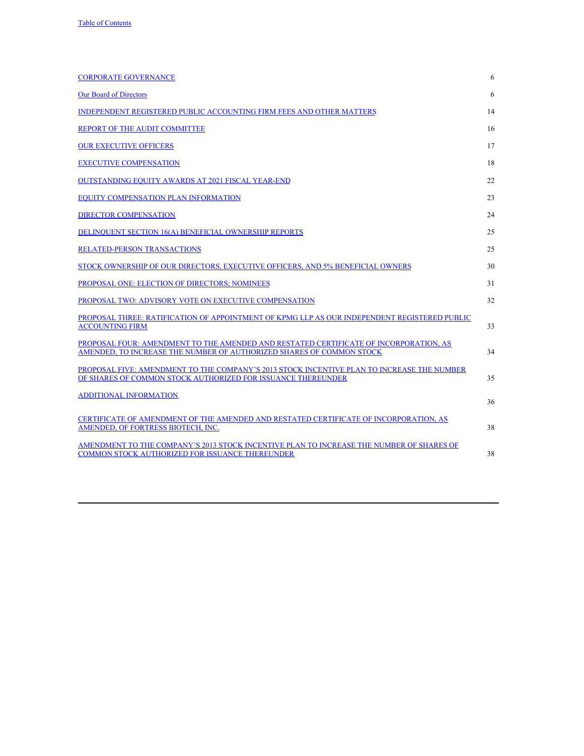| <b>CORPORATE GOVERNANCE</b>                                                                                                                                   | 6  |
|---------------------------------------------------------------------------------------------------------------------------------------------------------------|----|
| <b>Our Board of Directors</b>                                                                                                                                 | 6  |
| INDEPENDENT REGISTERED PUBLIC ACCOUNTING FIRM FEES AND OTHER MATTERS                                                                                          | 14 |
| REPORT OF THE AUDIT COMMITTEE                                                                                                                                 | 16 |
| <b>OUR EXECUTIVE OFFICERS</b>                                                                                                                                 | 17 |
| <b>EXECUTIVE COMPENSATION</b>                                                                                                                                 | 18 |
| <b>OUTSTANDING EOUITY AWARDS AT 2021 FISCAL YEAR-END</b>                                                                                                      | 22 |
| EQUITY COMPENSATION PLAN INFORMATION                                                                                                                          | 23 |
| <b>DIRECTOR COMPENSATION</b>                                                                                                                                  | 24 |
| DELINQUENT SECTION 16(A) BENEFICIAL OWNERSHIP REPORTS                                                                                                         | 25 |
| RELATED-PERSON TRANSACTIONS                                                                                                                                   | 25 |
| STOCK OWNERSHIP OF OUR DIRECTORS, EXECUTIVE OFFICERS, AND 5% BENEFICIAL OWNERS                                                                                | 30 |
| PROPOSAL ONE: ELECTION OF DIRECTORS; NOMINEES                                                                                                                 | 31 |
| PROPOSAL TWO: ADVISORY VOTE ON EXECUTIVE COMPENSATION                                                                                                         | 32 |
| PROPOSAL THREE: RATIFICATION OF APPOINTMENT OF KPMG LLP AS OUR INDEPENDENT REGISTERED PUBLIC<br><b>ACCOUNTING FIRM</b>                                        | 33 |
| PROPOSAL FOUR: AMENDMENT TO THE AMENDED AND RESTATED CERTIFICATE OF INCORPORATION, AS<br>AMENDED. TO INCREASE THE NUMBER OF AUTHORIZED SHARES OF COMMON STOCK | 34 |
| PROPOSAL FIVE: AMENDMENT TO THE COMPANY'S 2013 STOCK INCENTIVE PLAN TO INCREASE THE NUMBER<br>OF SHARES OF COMMON STOCK AUTHORIZED FOR ISSUANCE THEREUNDER    | 35 |
| <b>ADDITIONAL INFORMATION</b>                                                                                                                                 | 36 |
| CERTIFICATE OF AMENDMENT OF THE AMENDED AND RESTATED CERTIFICATE OF INCORPORATION, AS<br>AMENDED, OF FORTRESS BIOTECH, INC.                                   | 38 |
| AMENDMENT TO THE COMPANY'S 2013 STOCK INCENTIVE PLAN TO INCREASE THE NUMBER OF SHARES OF<br>COMMON STOCK AUTHORIZED FOR ISSUANCE THEREUNDER                   | 38 |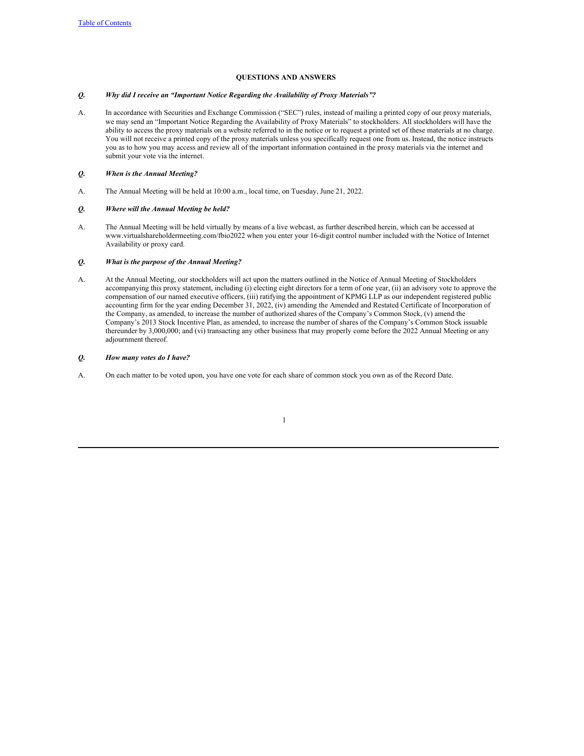# <span id="page-7-3"></span><span id="page-7-2"></span><span id="page-7-1"></span><span id="page-7-0"></span>**QUESTIONS AND ANSWERS**

# *Q. Why did I receive an "Important Notice Regarding the Availability of Proxy Materials"?*

A. In accordance with Securities and Exchange Commission ("SEC") rules, instead of mailing a printed copy of our proxy materials, we may send an "Important Notice Regarding the Availability of Proxy Materials" to stockholders. All stockholders will have the ability to access the proxy materials on a website referred to in the notice or to request a printed set of these materials at no charge. You will not receive a printed copy of the proxy materials unless you specifically request one from us. Instead, the notice instructs you as to how you may access and review all of the important information contained in the proxy materials via the internet and submit your vote via the internet.

# *Q. When is the Annual Meeting?*

A. The Annual Meeting will be held at 10:00 a.m., local time, on Tuesday, June 21, 2022.

## *Q. Where will the Annual Meeting be held?*

A. The Annual Meeting will be held virtually by means of a live webcast, as further described herein, which can be accessed at www.virtualshareholdermeeting.com/fbio2022 when you enter your 16-digit control number included with the Notice of Internet Availability or proxy card.

# <span id="page-7-4"></span>*Q. What is the purpose of the Annual Meeting?*

A. At the Annual Meeting, our stockholders will act upon the matters outlined in the Notice of Annual Meeting of Stockholders accompanying this proxy statement, including (i) electing eight directors for a term of one year, (ii) an advisory vote to approve the compensation of our named executive officers, (iii) ratifying the appointment of KPMG LLP as our independent registered public accounting firm for the year ending December 31, 2022, (iv) amending the Amended and Restated Certificate of Incorporation of the Company, as amended, to increase the number of authorized shares of the Company's Common Stock, (v) amend the Company's 2013 Stock Incentive Plan, as amended, to increase the number of shares of the Company's Common Stock issuable thereunder by 3,000,000; and (vi) transacting any other business that may properly come before the 2022 Annual Meeting or any adjournment thereof.

# <span id="page-7-5"></span>*Q. How many votes do I have?*

A. On each matter to be voted upon, you have one vote for each share of common stock you own as of the Record Date.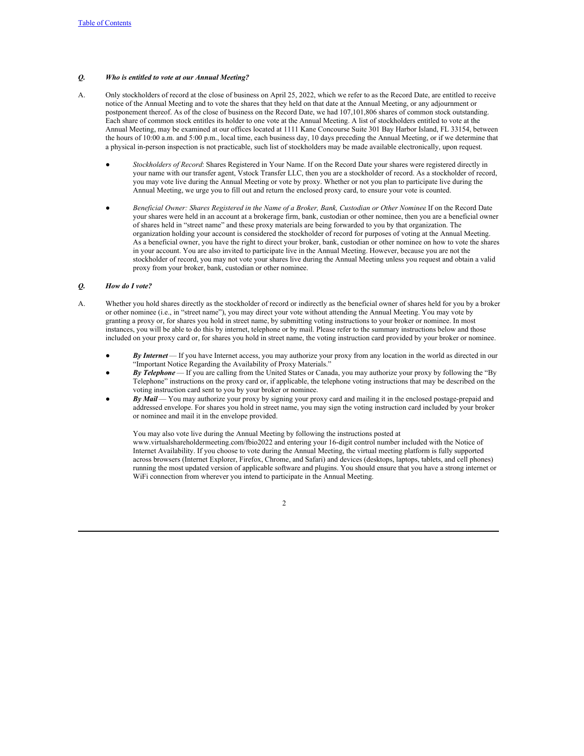# <span id="page-8-0"></span>*Q. Who is entitled to vote at our Annual Meeting?*

- A. Only stockholders of record at the close of business on April 25, 2022, which we refer to as the Record Date, are entitled to receive notice of the Annual Meeting and to vote the shares that they held on that date at the Annual Meeting, or any adjournment or postponement thereof. As of the close of business on the Record Date, we had 107,101,806 shares of common stock outstanding. Each share of common stock entitles its holder to one vote at the Annual Meeting. A list of stockholders entitled to vote at the Annual Meeting, may be examined at our offices located at 1111 Kane Concourse Suite 301 Bay Harbor Island, FL 33154, between the hours of 10:00 a.m. and 5:00 p.m., local time, each business day, 10 days preceding the Annual Meeting, or if we determine that a physical in-person inspection is not practicable, such list of stockholders may be made available electronically, upon request.
	- *Stockholders of Record*: Shares Registered in Your Name. If on the Record Date your shares were registered directly in your name with our transfer agent, Vstock Transfer LLC, then you are a stockholder of record. As a stockholder of record, you may vote live during the Annual Meeting or vote by proxy. Whether or not you plan to participate live during the Annual Meeting, we urge you to fill out and return the enclosed proxy card, to ensure your vote is counted.
	- *Beneficial Owner: Shares Registered in the Name of a Broker, Bank, Custodian or Other Nominee*. If on the Record Date your shares were held in an account at a brokerage firm, bank, custodian or other nominee, then you are a beneficial owner of shares held in "street name" and these proxy materials are being forwarded to you by that organization. The organization holding your account is considered the stockholder of record for purposes of voting at the Annual Meeting. As a beneficial owner, you have the right to direct your broker, bank, custodian or other nominee on how to vote the shares in your account. You are also invited to participate live in the Annual Meeting. However, because you are not the stockholder of record, you may not vote your shares live during the Annual Meeting unless you request and obtain a valid proxy from your broker, bank, custodian or other nominee.

## <span id="page-8-1"></span>*Q. How do I vote?*

- A. Whether you hold shares directly as the stockholder of record or indirectly as the beneficial owner of shares held for you by a broker or other nominee (i.e., in "street name"), you may direct your vote without attending the Annual Meeting. You may vote by granting a proxy or, for shares you hold in street name, by submitting voting instructions to your broker or nominee. In most instances, you will be able to do this by internet, telephone or by mail. Please refer to the summary instructions below and those included on your proxy card or, for shares you hold in street name, the voting instruction card provided by your broker or nominee.
	- *By Internet* If you have Internet access, you may authorize your proxy from any location in the world as directed in our "Important Notice Regarding the Availability of Proxy Materials."
	- *By Telephone* If you are calling from the United States or Canada, you may authorize your proxy by following the "By Telephone" instructions on the proxy card or, if applicable, the telephone voting instructions that may be described on the voting instruction card sent to you by your broker or nominee.
	- *By Mail* You may authorize your proxy by signing your proxy card and mailing it in the enclosed postage-prepaid and addressed envelope. For shares you hold in street name, you may sign the voting instruction card included by your broker or nominee and mail it in the envelope provided.

You may also vote live during the Annual Meeting by following the instructions posted at www.virtualshareholdermeeting.com/fbio2022 and entering your 16-digit control number included with the Notice of Internet Availability. If you choose to vote during the Annual Meeting, the virtual meeting platform is fully supported across browsers (Internet Explorer, Firefox, Chrome, and Safari) and devices (desktops, laptops, tablets, and cell phones) running the most updated version of applicable software and plugins. You should ensure that you have a strong internet or WiFi connection from wherever you intend to participate in the Annual Meeting.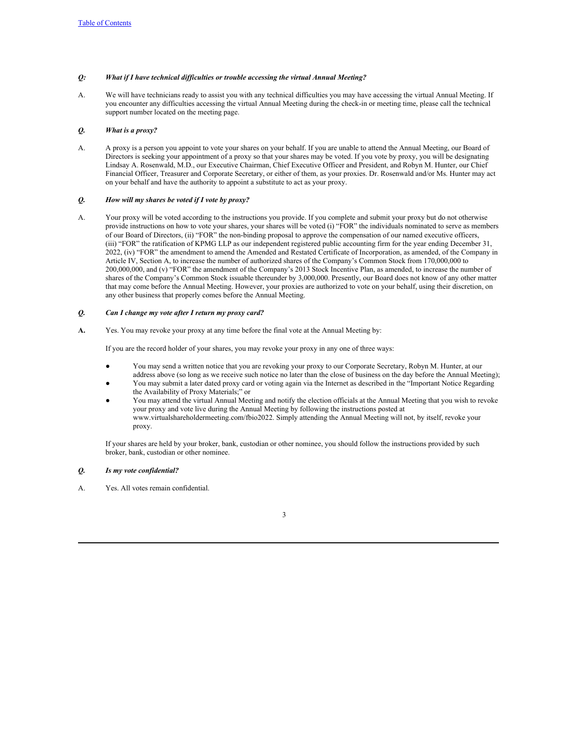# <span id="page-9-0"></span>*Q: What if I have technical dif iculties or trouble accessing the virtual Annual Meeting?*

A. We will have technicians ready to assist you with any technical difficulties you may have accessing the virtual Annual Meeting. If you encounter any difficulties accessing the virtual Annual Meeting during the check-in or meeting time, please call the technical support number located on the meeting page.

# <span id="page-9-1"></span>*Q. What is a proxy?*

A. A proxy is a person you appoint to vote your shares on your behalf. If you are unable to attend the Annual Meeting, our Board of Directors is seeking your appointment of a proxy so that your shares may be voted. If you vote by proxy, you will be designating Lindsay A. Rosenwald, M.D., our Executive Chairman, Chief Executive Officer and President, and Robyn M. Hunter, our Chief Financial Officer, Treasurer and Corporate Secretary, or either of them, as your proxies. Dr. Rosenwald and/or Ms. Hunter may act on your behalf and have the authority to appoint a substitute to act as your proxy.

# <span id="page-9-2"></span>*Q. How will my shares be voted if I vote by proxy?*

A. Your proxy will be voted according to the instructions you provide. If you complete and submit your proxy but do not otherwise provide instructions on how to vote your shares, your shares will be voted (i) "FOR" the individuals nominated to serve as members of our Board of Directors, (ii) "FOR" the non-binding proposal to approve the compensation of our named executive officers, (iii) "FOR" the ratification of KPMG LLP as our independent registered public accounting firm for the year ending December 31, 2022, (iv) "FOR" the amendment to amend the Amended and Restated Certificate of Incorporation, as amended, of the Company in Article IV, Section A, to increase the number of authorized shares of the Company's Common Stock from 170,000,000 to 200,000,000, and (v) "FOR" the amendment of the Company's 2013 Stock Incentive Plan, as amended, to increase the number of shares of the Company's Common Stock issuable thereunder by 3,000,000. Presently, our Board does not know of any other matter that may come before the Annual Meeting. However, your proxies are authorized to vote on your behalf, using their discretion, on any other business that properly comes before the Annual Meeting.

## *Q. Can I change my vote after I return my proxy card?*

**A.** Yes. You may revoke your proxy at any time before the final vote at the Annual Meeting by:

<span id="page-9-3"></span>If you are the record holder of your shares, you may revoke your proxy in any one of three ways:

- You may send a written notice that you are revoking your proxy to our Corporate Secretary, Robyn M. Hunter, at our address above (so long as we receive such notice no later than the close of business on the day before the Annual Meeting);
- You may submit a later dated proxy card or voting again via the Internet as described in the "Important Notice Regarding the Availability of Proxy Materials;" or
- You may attend the virtual Annual Meeting and notify the election officials at the Annual Meeting that you wish to revoke your proxy and vote live during the Annual Meeting by following the instructions posted at www.virtualshareholdermeeting.com/fbio2022. Simply attending the Annual Meeting will not, by itself, revoke your proxy.

<span id="page-9-4"></span>If your shares are held by your broker, bank, custodian or other nominee, you should follow the instructions provided by such broker, bank, custodian or other nominee.

# *Q. Is my vote confidential?*

A. Yes. All votes remain confidential.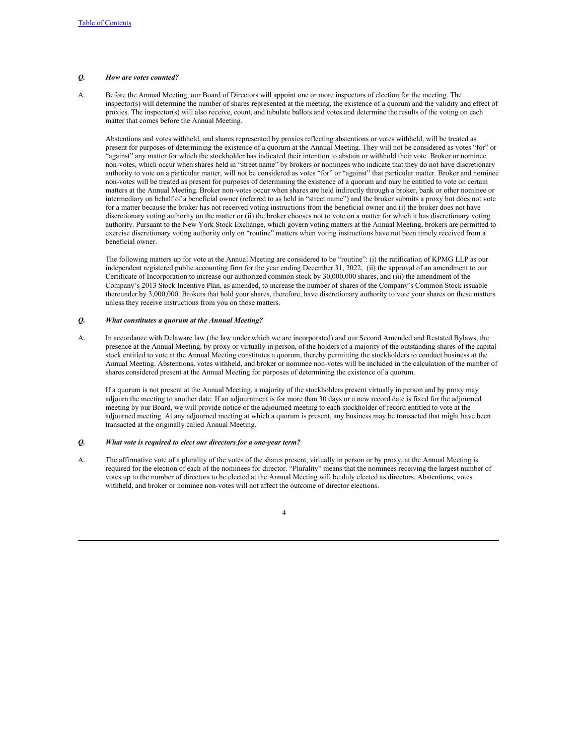## *Q. How are votes counted?*

A. Before the Annual Meeting, our Board of Directors will appoint one or more inspectors of election for the meeting. The inspector(s) will determine the number of shares represented at the meeting, the existence of a quorum and the validity and effect of proxies. The inspector(s) will also receive, count, and tabulate ballots and votes and determine the results of the voting on each matter that comes before the Annual Meeting.

<span id="page-10-0"></span>Abstentions and votes withheld, and shares represented by proxies reflecting abstentions or votes withheld, will be treated as present for purposes of determining the existence of a quorum at the Annual Meeting. They will not be considered as votes "for" or "against" any matter for which the stockholder has indicated their intention to abstain or withhold their vote. Broker or nominee non-votes, which occur when shares held in "street name" by brokers or nominees who indicate that they do not have discretionary authority to vote on a particular matter, will not be considered as votes "for" or "against" that particular matter. Broker and nominee non-votes will be treated as present for purposes of determining the existence of a quorum and may be entitled to vote on certain matters at the Annual Meeting. Broker non-votes occur when shares are held indirectly through a broker, bank or other nominee or intermediary on behalf of a beneficial owner (referred to as held in "street name") and the broker submits a proxy but does not vote for a matter because the broker has not received voting instructions from the beneficial owner and (i) the broker does not have discretionary voting authority on the matter or (ii) the broker chooses not to vote on a matter for which it has discretionary voting authority. Pursuant to the New York Stock Exchange, which govern voting matters at the Annual Meeting, brokers are permitted to exercise discretionary voting authority only on "routine" matters when voting instructions have not been timely received from a beneficial owner.

<span id="page-10-1"></span>The following matters up for vote at the Annual Meeting are considered to be "routine": (i) the ratification of KPMG LLP as our independent registered public accounting firm for the year ending December 31, 2022, (ii) the approval of an amendment to our Certificate of Incorporation to increase our authorized common stock by 30,000,000 shares, and (iii) the amendment of the Company's 2013 Stock Incentive Plan, as amended, to increase the number of shares of the Company's Common Stock issuable thereunder by 3,000,000. Brokers that hold your shares, therefore, have discretionary authority to vote your shares on these matters unless they receive instructions from you on those matters.

# *Q. What constitutes a quorum at the Annual Meeting?*

A. In accordance with Delaware law (the law under which we are incorporated) and our Second Amended and Restated Bylaws, the presence at the Annual Meeting, by proxy or virtually in person, of the holders of a majority of the outstanding shares of the capital stock entitled to vote at the Annual Meeting constitutes a quorum, thereby permitting the stockholders to conduct business at the Annual Meeting. Abstentions, votes withheld, and broker or nominee non-votes will be included in the calculation of the number of shares considered present at the Annual Meeting for purposes of determining the existence of a quorum.

<span id="page-10-2"></span>If a quorum is not present at the Annual Meeting, a majority of the stockholders present virtually in person and by proxy may adjourn the meeting to another date. If an adjournment is for more than 30 days or a new record date is fixed for the adjourned meeting by our Board, we will provide notice of the adjourned meeting to each stockholder of record entitled to vote at the adjourned meeting. At any adjourned meeting at which a quorum is present, any business may be transacted that might have been transacted at the originally called Annual Meeting.

## *Q. What vote is required to elect our directors for a one-year term?*

A. The affirmative vote of a plurality of the votes of the shares present, virtually in person or by proxy, at the Annual Meeting is required for the election of each of the nominees for director. "Plurality" means that the nominees receiving the largest number of votes up to the number of directors to be elected at the Annual Meeting will be duly elected as directors. Abstentions, votes withheld, and broker or nominee non-votes will not affect the outcome of director elections.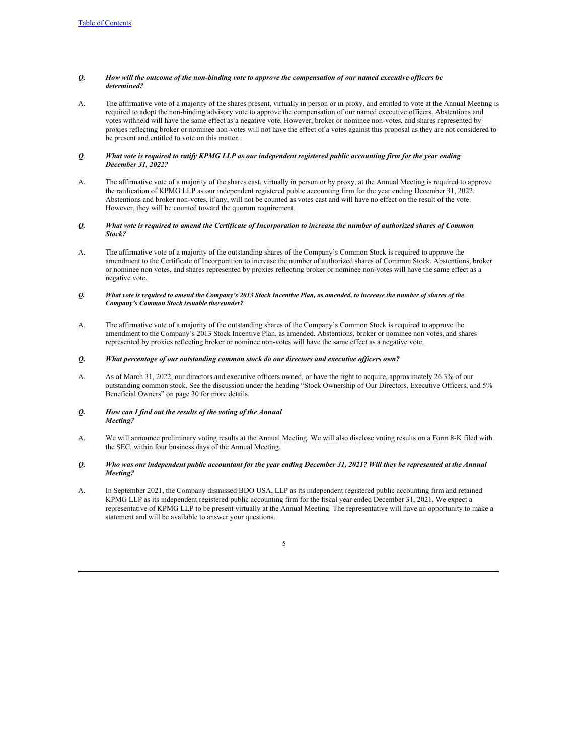# <span id="page-11-0"></span>Q. How will the outcome of the non-binding vote to approve the compensation of our named executive officers be *determined?*

A. The affirmative vote of a majority of the shares present, virtually in person or in proxy, and entitled to vote at the Annual Meeting is required to adopt the non-binding advisory vote to approve the compensation of our named executive officers. Abstentions and votes withheld will have the same effect as a negative vote. However, broker or nominee non-votes, and shares represented by proxies reflecting broker or nominee non-votes will not have the effect of a votes against this proposal as they are not considered to be present and entitled to vote on this matter.

# <span id="page-11-1"></span>Q. What vote is required to ratify KPMG LLP as our independent registered public accounting firm for the year ending *December 31, 2022?*

A. The affirmative vote of a majority of the shares cast, virtually in person or by proxy, at the Annual Meeting is required to approve the ratification of KPMG LLP as our independent registered public accounting firm for the year ending December 31, 2022. Abstentions and broker non-votes, if any, will not be counted as votes cast and will have no effect on the result of the vote. However, they will be counted toward the quorum requirement.

# <span id="page-11-2"></span>Q. What vote is required to amend the Certificate of Incorporation to increase the number of authorized shares of Common *Stock?*

A. The affirmative vote of a majority of the outstanding shares of the Company's Common Stock is required to approve the amendment to the Certificate of Incorporation to increase the number of authorized shares of Common Stock. Abstentions, broker or nominee non votes, and shares represented by proxies reflecting broker or nominee non-votes will have the same effect as a negative vote.

## Q. What vote is required to amend the Company's 2013 Stock Incentive Plan, as amended, to increase the number of shares of the *Company's Common Stock issuable thereunder?*

A. The affirmative vote of a majority of the outstanding shares of the Company's Common Stock is required to approve the amendment to the Company's 2013 Stock Incentive Plan, as amended. Abstentions, broker or nominee non votes, and shares represented by proxies reflecting broker or nominee non-votes will have the same effect as a negative vote.

## <span id="page-11-3"></span>*Q. What percentage of our outstanding common stock do our directors and executive of icers own?*

A. As of March 31, 2022, our directors and executive officers owned, or have the right to acquire, approximately 26.3% of our outstanding common stock. See the discussion under the heading "Stock Ownership of Our Directors, Executive Officers, and 5% Beneficial Owners" on page 30 for more details.

## <span id="page-11-4"></span>*Q. How can I find out the results of the voting of the Annual Meeting?*

A. We will announce preliminary voting results at the Annual Meeting. We will also disclose voting results on a Form 8-K filed with the SEC, within four business days of the Annual Meeting.

## <span id="page-11-5"></span>0. Who was our independent public accountant for the year ending December 31, 2021? Will they be represented at the Annual *Meeting?*

A. In September 2021, the Company dismissed BDO USA, LLP as its independent registered public accounting firm and retained KPMG LLP as its independent registered public accounting firm for the fiscal year ended December 31, 2021. We expect a representative of KPMG LLP to be present virtually at the Annual Meeting. The representative will have an opportunity to make a statement and will be available to answer your questions.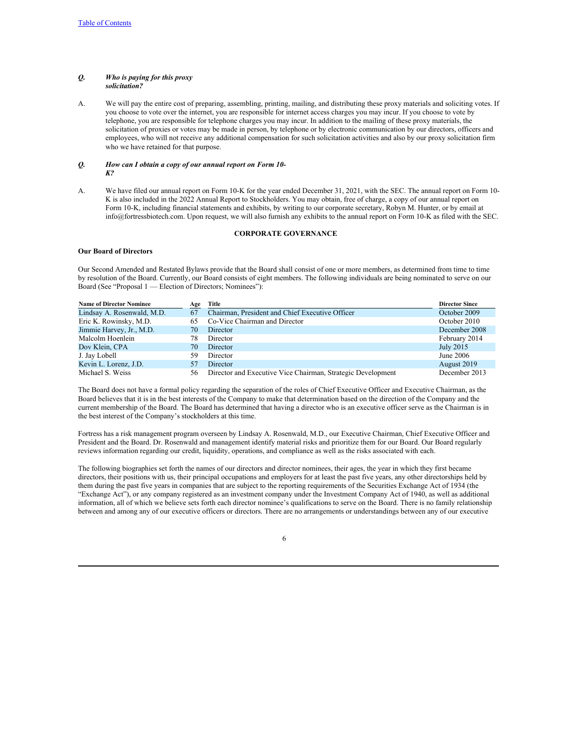## <span id="page-12-0"></span>*Q. Who is paying for this proxy solicitation?*

A. We will pay the entire cost of preparing, assembling, printing, mailing, and distributing these proxy materials and soliciting votes. If you choose to vote over the internet, you are responsible for internet access charges you may incur. If you choose to vote by telephone, you are responsible for telephone charges you may incur. In addition to the mailing of these proxy materials, the solicitation of proxies or votes may be made in person, by telephone or by electronic communication by our directors, officers and employees, who will not receive any additional compensation for such solicitation activities and also by our proxy solicitation firm who we have retained for that purpose.

## <span id="page-12-1"></span>*Q. How can I obtain a copy of our annual report on Form 10- K?*

A. We have filed our annual report on Form 10-K for the year ended December 31, 2021, with the SEC. The annual report on Form 10- K is also included in the 2022 Annual Report to Stockholders. You may obtain, free of charge, a copy of our annual report on Form 10-K, including financial statements and exhibits, by writing to our corporate secretary, Robyn M. Hunter, or by email at info@fortressbiotech.com. Upon request, we will also furnish any exhibits to the annual report on Form 10-K as filed with the SEC.

## <span id="page-12-2"></span>**CORPORATE GOVERNANCE**

# <span id="page-12-3"></span>**Our Board of Directors**

Our Second Amended and Restated Bylaws provide that the Board shall consist of one or more members, as determined from time to time by resolution of the Board. Currently, our Board consists of eight members. The following individuals are being nominated to serve on our Board (See "Proposal 1 — Election of Directors; Nominees"):

| <b>Name of Director Nominee</b> | Age | Title                                                       | <b>Director Since</b> |
|---------------------------------|-----|-------------------------------------------------------------|-----------------------|
| Lindsay A. Rosenwald, M.D.      | 67  | Chairman, President and Chief Executive Officer             | October 2009          |
| Eric K. Rowinsky, M.D.          | 65  | Co-Vice Chairman and Director                               | October 2010          |
| Jimmie Harvey, Jr., M.D.        | 70  | Director                                                    | December 2008         |
| Malcolm Hoenlein                | 78  | Director                                                    | February 2014         |
| Dov Klein, CPA                  | 70  | Director                                                    | July 2015             |
| J. Jay Lobell                   | 59  | Director                                                    | June 2006             |
| Kevin L. Lorenz, J.D.           | 57  | Director                                                    | August 2019           |
| Michael S. Weiss                | 56  | Director and Executive Vice Chairman, Strategic Development | December 2013         |

The Board does not have a formal policy regarding the separation of the roles of Chief Executive Officer and Executive Chairman, as the Board believes that it is in the best interests of the Company to make that determination based on the direction of the Company and the current membership of the Board. The Board has determined that having a director who is an executive officer serve as the Chairman is in the best interest of the Company's stockholders at this time.

Fortress has a risk management program overseen by Lindsay A. Rosenwald, M.D., our Executive Chairman, Chief Executive Officer and President and the Board. Dr. Rosenwald and management identify material risks and prioritize them for our Board. Our Board regularly reviews information regarding our credit, liquidity, operations, and compliance as well as the risks associated with each.

The following biographies set forth the names of our directors and director nominees, their ages, the year in which they first became directors, their positions with us, their principal occupations and employers for at least the past five years, any other directorships held by them during the past five years in companies that are subject to the reporting requirements of the Securities Exchange Act of 1934 (the "Exchange Act"), or any company registered as an investment company under the Investment Company Act of 1940, as well as additional information, all of which we believe sets forth each director nominee's qualifications to serve on the Board. There is no family relationship between and among any of our executive officers or directors. There are no arrangements or understandings between any of our executive

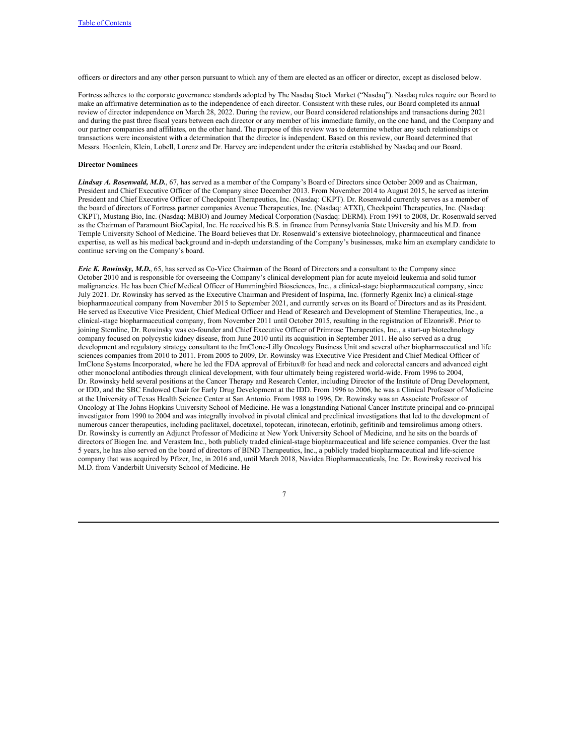officers or directors and any other person pursuant to which any of them are elected as an officer or director, except as disclosed below.

Fortress adheres to the corporate governance standards adopted by The Nasdaq Stock Market ("Nasdaq"). Nasdaq rules require our Board to make an affirmative determination as to the independence of each director. Consistent with these rules, our Board completed its annual review of director independence on March 28, 2022. During the review, our Board considered relationships and transactions during 2021 and during the past three fiscal years between each director or any member of his immediate family, on the one hand, and the Company and our partner companies and affiliates, on the other hand. The purpose of this review was to determine whether any such relationships or transactions were inconsistent with a determination that the director is independent. Based on this review, our Board determined that Messrs. Hoenlein, Klein, Lobell, Lorenz and Dr. Harvey are independent under the criteria established by Nasdaq and our Board.

# **Director Nominees**

*Lindsay A. Rosenwald, M.D.*, 67, has served as a member of the Company's Board of Directors since October 2009 and as Chairman, President and Chief Executive Officer of the Company since December 2013. From November 2014 to August 2015, he served as interim President and Chief Executive Officer of Checkpoint Therapeutics, Inc. (Nasdaq: CKPT). Dr. Rosenwald currently serves as a member of the board of directors of Fortress partner companies Avenue Therapeutics, Inc. (Nasdaq: ATXI), Checkpoint Therapeutics, Inc. (Nasdaq: CKPT), Mustang Bio, Inc. (Nasdaq: MBIO) and Journey Medical Corporation (Nasdaq: DERM). From 1991 to 2008, Dr. Rosenwald served as the Chairman of Paramount BioCapital, Inc. He received his B.S. in finance from Pennsylvania State University and his M.D. from Temple University School of Medicine. The Board believes that Dr. Rosenwald's extensive biotechnology, pharmaceutical and finance expertise, as well as his medical background and in-depth understanding of the Company's businesses, make him an exemplary candidate to continue serving on the Company's board.

*Eric K. Rowinsky, M.D.*, 65, has served as Co-Vice Chairman of the Board of Directors and a consultant to the Company since October 2010 and is responsible for overseeing the Company's clinical development plan for acute myeloid leukemia and solid tumor malignancies. He has been Chief Medical Officer of Hummingbird Biosciences, Inc., a clinical-stage biopharmaceutical company, since July 2021. Dr. Rowinsky has served as the Executive Chairman and President of Inspirna, Inc. (formerly Rgenix Inc) a clinical-stage biopharmaceutical company from November 2015 to September 2021, and currently serves on its Board of Directors and as its President. He served as Executive Vice President, Chief Medical Officer and Head of Research and Development of Stemline Therapeutics, Inc., a clinical-stage biopharmaceutical company, from November 2011 until October 2015, resulting in the registration of Elzonris®. Prior to joining Stemline, Dr. Rowinsky was co-founder and Chief Executive Officer of Primrose Therapeutics, Inc., a start-up biotechnology company focused on polycystic kidney disease, from June 2010 until its acquisition in September 2011. He also served as a drug development and regulatory strategy consultant to the ImClone-Lilly Oncology Business Unit and several other biopharmaceutical and life sciences companies from 2010 to 2011. From 2005 to 2009, Dr. Rowinsky was Executive Vice President and Chief Medical Officer of ImClone Systems Incorporated, where he led the FDA approval of Erbitux® for head and neck and colorectal cancers and advanced eight other monoclonal antibodies through clinical development, with four ultimately being registered world-wide. From 1996 to 2004, Dr. Rowinsky held several positions at the Cancer Therapy and Research Center, including Director of the Institute of Drug Development, or IDD, and the SBC Endowed Chair for Early Drug Development at the IDD. From 1996 to 2006, he was a Clinical Professor of Medicine at the University of Texas Health Science Center at San Antonio. From 1988 to 1996, Dr. Rowinsky was an Associate Professor of Oncology at The Johns Hopkins University School of Medicine. He was a longstanding National Cancer Institute principal and co-principal investigator from 1990 to 2004 and was integrally involved in pivotal clinical and preclinical investigations that led to the development of numerous cancer therapeutics, including paclitaxel, docetaxel, topotecan, irinotecan, erlotinib, gefitinib and temsirolimus among others. Dr. Rowinsky is currently an Adjunct Professor of Medicine at New York University School of Medicine, and he sits on the boards of directors of Biogen Inc. and Verastem Inc., both publicly traded clinical-stage biopharmaceutical and life science companies. Over the last 5 years, he has also served on the board of directors of BIND Therapeutics, Inc., a publicly traded biopharmaceutical and life-science company that was acquired by Pfizer, Inc, in 2016 and, until March 2018, Navidea Biopharmaceuticals, Inc. Dr. Rowinsky received his M.D. from Vanderbilt University School of Medicine. He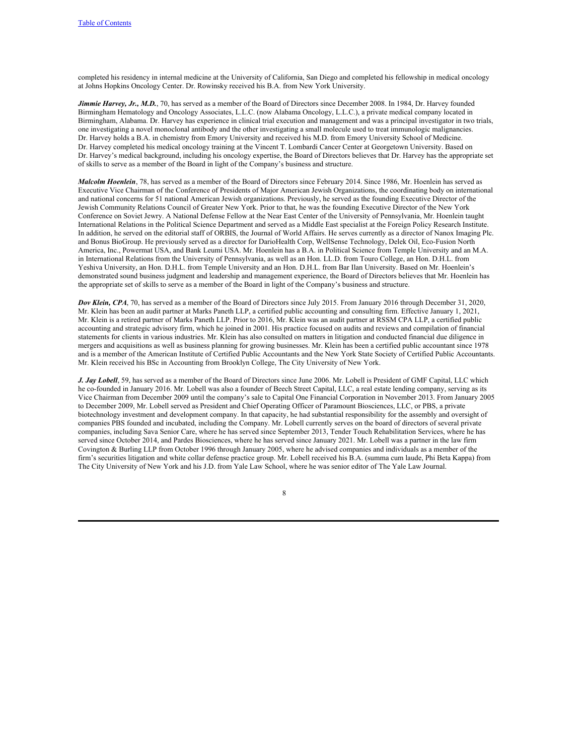completed his residency in internal medicine at the University of California, San Diego and completed his fellowship in medical oncology at Johns Hopkins Oncology Center. Dr. Rowinsky received his B.A. from New York University.

*Jimmie Harvey, Jr., M.D.*, 70, has served as a member of the Board of Directors since December 2008. In 1984, Dr. Harvey founded Birmingham Hematology and Oncology Associates, L.L.C. (now Alabama Oncology, L.L.C.), a private medical company located in Birmingham, Alabama. Dr. Harvey has experience in clinical trial execution and management and was a principal investigator in two trials, one investigating a novel monoclonal antibody and the other investigating a small molecule used to treat immunologic malignancies. Dr. Harvey holds a B.A. in chemistry from Emory University and received his M.D. from Emory University School of Medicine. Dr. Harvey completed his medical oncology training at the Vincent T. Lombardi Cancer Center at Georgetown University. Based on Dr. Harvey's medical background, including his oncology expertise, the Board of Directors believes that Dr. Harvey has the appropriate set of skills to serve as a member of the Board in light of the Company's business and structure.

*Malcolm Hoenlein*, 78, has served as a member of the Board of Directors since February 2014. Since 1986, Mr. Hoenlein has served as Executive Vice Chairman of the Conference of Presidents of Major American Jewish Organizations, the coordinating body on international and national concerns for 51 national American Jewish organizations. Previously, he served as the founding Executive Director of the Jewish Community Relations Council of Greater New York. Prior to that, he was the founding Executive Director of the New York Conference on Soviet Jewry. A National Defense Fellow at the Near East Center of the University of Pennsylvania, Mr. Hoenlein taught International Relations in the Political Science Department and served as a Middle East specialist at the Foreign Policy Research Institute. In addition, he served on the editorial staff of ORBIS, the Journal of World Affairs. He serves currently as a director of Nanox Imaging Plc. and Bonus BioGroup. He previously served as a director for DarioHealth Corp, WellSense Technology, Delek Oil, Eco-Fusion North America, Inc., Powermat USA, and Bank Leumi USA. Mr. Hoenlein has a B.A. in Political Science from Temple University and an M.A. in International Relations from the University of Pennsylvania, as well as an Hon. LL.D. from Touro College, an Hon. D.H.L. from Yeshiva University, an Hon. D.H.L. from Temple University and an Hon. D.H.L. from Bar Ilan University. Based on Mr. Hoenlein's demonstrated sound business judgment and leadership and management experience, the Board of Directors believes that Mr. Hoenlein has the appropriate set of skills to serve as a member of the Board in light of the Company's business and structure.

*Dov Klein, CPA*, 70, has served as a member of the Board of Directors since July 2015. From January 2016 through December 31, 2020, Mr. Klein has been an audit partner at Marks Paneth LLP, a certified public accounting and consulting firm. Effective January 1, 2021, Mr. Klein is a retired partner of Marks Paneth LLP. Prior to 2016, Mr. Klein was an audit partner at RSSM CPA LLP, a certified public accounting and strategic advisory firm, which he joined in 2001. His practice focused on audits and reviews and compilation of financial statements for clients in various industries. Mr. Klein has also consulted on matters in litigation and conducted financial due diligence in mergers and acquisitions as well as business planning for growing businesses. Mr. Klein has been a certified public accountant since 1978 and is a member of the American Institute of Certified Public Accountants and the New York State Society of Certified Public Accountants. Mr. Klein received his BSc in Accounting from Brooklyn College, The City University of New York.

*J. Jay Lobell*, 59, has served as a member of the Board of Directors since June 2006. Mr. Lobell is President of GMF Capital, LLC which he co-founded in January 2016. Mr. Lobell was also a founder of Beech Street Capital, LLC, a real estate lending company, serving as its Vice Chairman from December 2009 until the company's sale to Capital One Financial Corporation in November 2013. From January 2005 to December 2009, Mr. Lobell served as President and Chief Operating Officer of Paramount Biosciences, LLC, or PBS, a private biotechnology investment and development company. In that capacity, he had substantial responsibility for the assembly and oversight of companies PBS founded and incubated, including the Company. Mr. Lobell currently serves on the board of directors of several private companies, including Sava Senior Care, where he has served since September 2013, Tender Touch Rehabilitation Services, where he has served since October 2014, and Pardes Biosciences, where he has served since January 2021. Mr. Lobell was a partner in the law firm Covington & Burling LLP from October 1996 through January 2005, where he advised companies and individuals as a member of the firm's securities litigation and white collar defense practice group. Mr. Lobell received his B.A. (summa cum laude, Phi Beta Kappa) from The City University of New York and his J.D. from Yale Law School, where he was senior editor of The Yale Law Journal.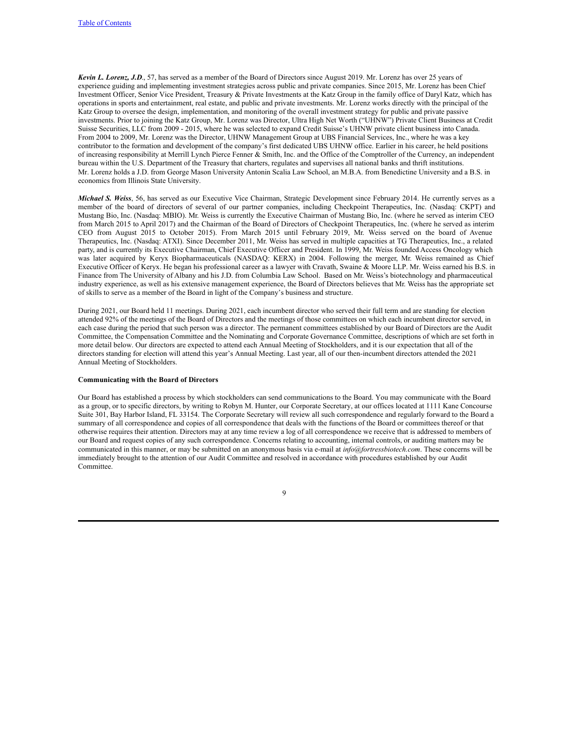*Kevin L. Lorenz, J.D*., 57, has served as a member of the Board of Directors since August 2019. Mr. Lorenz has over 25 years of experience guiding and implementing investment strategies across public and private companies. Since 2015, Mr. Lorenz has been Chief Investment Officer, Senior Vice President, Treasury & Private Investments at the Katz Group in the family office of Daryl Katz, which has operations in sports and entertainment, real estate, and public and private investments. Mr. Lorenz works directly with the principal of the Katz Group to oversee the design, implementation, and monitoring of the overall investment strategy for public and private passive investments. Prior to joining the Katz Group, Mr. Lorenz was Director, Ultra High Net Worth ("UHNW") Private Client Business at Credit Suisse Securities, LLC from 2009 - 2015, where he was selected to expand Credit Suisse's UHNW private client business into Canada. From 2004 to 2009, Mr. Lorenz was the Director, UHNW Management Group at UBS Financial Services, Inc., where he was a key contributor to the formation and development of the company's first dedicated UBS UHNW office. Earlier in his career, he held positions of increasing responsibility at Merrill Lynch Pierce Fenner & Smith, Inc. and the Office of the Comptroller of the Currency, an independent bureau within the U.S. Department of the Treasury that charters, regulates and supervises all national banks and thrift institutions. Mr. Lorenz holds a J.D. from George Mason University Antonin Scalia Law School, an M.B.A. from Benedictine University and a B.S. in economics from Illinois State University.

*Michael S. Weiss*, 56, has served as our Executive Vice Chairman, Strategic Development since February 2014. He currently serves as a member of the board of directors of several of our partner companies, including Checkpoint Therapeutics, Inc. (Nasdaq: CKPT) and Mustang Bio, Inc. (Nasdaq: MBIO). Mr. Weiss is currently the Executive Chairman of Mustang Bio, Inc. (where he served as interim CEO from March 2015 to April 2017) and the Chairman of the Board of Directors of Checkpoint Therapeutics, Inc. (where he served as interim CEO from August 2015 to October 2015). From March 2015 until February 2019, Mr. Weiss served on the board of Avenue Therapeutics, Inc. (Nasdaq: ATXI). Since December 2011, Mr. Weiss has served in multiple capacities at TG Therapeutics, Inc., a related party, and is currently its Executive Chairman, Chief Executive Officer and President. In 1999, Mr. Weiss founded Access Oncology which was later acquired by Keryx Biopharmaceuticals (NASDAQ: KERX) in 2004. Following the merger, Mr. Weiss remained as Chief Executive Officer of Keryx. He began his professional career as a lawyer with Cravath, Swaine & Moore LLP. Mr. Weiss earned his B.S. in Finance from The University of Albany and his J.D. from Columbia Law School. Based on Mr. Weiss's biotechnology and pharmaceutical industry experience, as well as his extensive management experience, the Board of Directors believes that Mr. Weiss has the appropriate set of skills to serve as a member of the Board in light of the Company's business and structure.

During 2021, our Board held 11 meetings. During 2021, each incumbent director who served their full term and are standing for election attended 92% of the meetings of the Board of Directors and the meetings of those committees on which each incumbent director served, in each case during the period that such person was a director. The permanent committees established by our Board of Directors are the Audit Committee, the Compensation Committee and the Nominating and Corporate Governance Committee, descriptions of which are set forth in more detail below. Our directors are expected to attend each Annual Meeting of Stockholders, and it is our expectation that all of the directors standing for election will attend this year's Annual Meeting. Last year, all of our then-incumbent directors attended the 2021 Annual Meeting of Stockholders.

#### **Communicating with the Board of Directors**

Our Board has established a process by which stockholders can send communications to the Board. You may communicate with the Board as a group, or to specific directors, by writing to Robyn M. Hunter, our Corporate Secretary, at our offices located at 1111 Kane Concourse Suite 301, Bay Harbor Island, FL 33154. The Corporate Secretary will review all such correspondence and regularly forward to the Board a summary of all correspondence and copies of all correspondence that deals with the functions of the Board or committees thereof or that otherwise requires their attention. Directors may at any time review a log of all correspondence we receive that is addressed to members of our Board and request copies of any such correspondence. Concerns relating to accounting, internal controls, or auditing matters may be communicated in this manner, or may be submitted on an anonymous basis via e-mail at *info@fortressbiotech.com*. These concerns will be immediately brought to the attention of our Audit Committee and resolved in accordance with procedures established by our Audit Committee.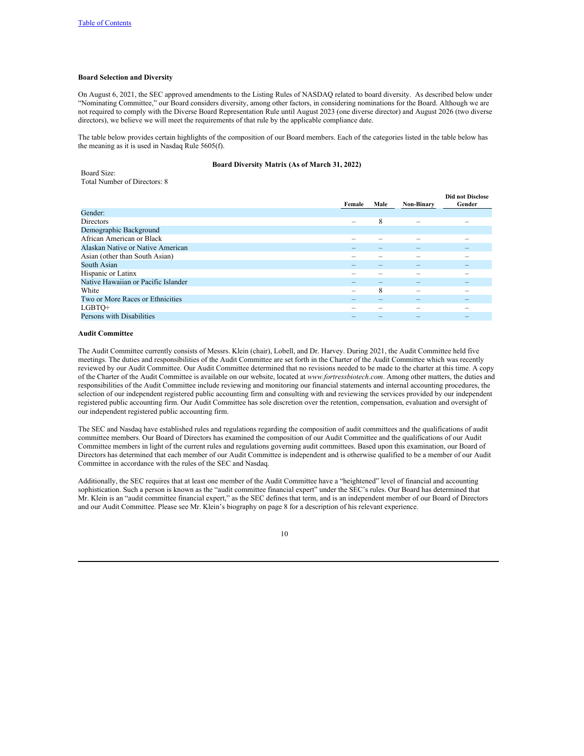# **Board Selection and Diversity**

On August 6, 2021, the SEC approved amendments to the Listing Rules of NASDAQ related to board diversity. As described below under "Nominating Committee," our Board considers diversity, among other factors, in considering nominations for the Board. Although we are not required to comply with the Diverse Board Representation Rule until August 2023 (one diverse director) and August 2026 (two diverse directors), we believe we will meet the requirements of that rule by the applicable compliance date.

The table below provides certain highlights of the composition of our Board members. Each of the categories listed in the table below has the meaning as it is used in Nasdaq Rule 5605(f).

# **Board Diversity Matrix (As of March 31, 2022)**

Board Size: Total Number of Directors: 8

|                                     | Female                   | Male | Non-Binary | <b>Did not Disclose</b><br>Gender |
|-------------------------------------|--------------------------|------|------------|-----------------------------------|
| Gender:                             |                          |      |            |                                   |
| <b>Directors</b>                    |                          | 8    | -          |                                   |
| Demographic Background              |                          |      |            |                                   |
| African American or Black           |                          |      |            | -                                 |
| Alaskan Native or Native American   |                          |      |            |                                   |
| Asian (other than South Asian)      |                          |      |            | -                                 |
| South Asian                         |                          |      | _          | $\overline{\phantom{a}}$          |
| Hispanic or Latinx                  |                          |      |            | -                                 |
| Native Hawaiian or Pacific Islander |                          | -    |            |                                   |
| White                               | $\overline{\phantom{a}}$ | 8    |            |                                   |
| Two or More Races or Ethnicities    |                          |      | $\sim$     | $\overline{\phantom{a}}$          |
| LGBTQ+                              |                          |      |            |                                   |
| Persons with Disabilities           |                          |      |            | $\overline{\phantom{a}}$          |
|                                     |                          |      |            |                                   |

# **Audit Committee**

The Audit Committee currently consists of Messrs. Klein (chair), Lobell, and Dr. Harvey. During 2021, the Audit Committee held five meetings. The duties and responsibilities of the Audit Committee are set forth in the Charter of the Audit Committee which was recently reviewed by our Audit Committee. Our Audit Committee determined that no revisions needed to be made to the charter at this time. A copy of the Charter of the Audit Committee is available on our website, located at *www.fortressbiotech.com*. Among other matters, the duties and responsibilities of the Audit Committee include reviewing and monitoring our financial statements and internal accounting procedures, the selection of our independent registered public accounting firm and consulting with and reviewing the services provided by our independent registered public accounting firm. Our Audit Committee has sole discretion over the retention, compensation, evaluation and oversight of our independent registered public accounting firm.

The SEC and Nasdaq have established rules and regulations regarding the composition of audit committees and the qualifications of audit committee members. Our Board of Directors has examined the composition of our Audit Committee and the qualifications of our Audit Committee members in light of the current rules and regulations governing audit committees. Based upon this examination, our Board of Directors has determined that each member of our Audit Committee is independent and is otherwise qualified to be a member of our Audit Committee in accordance with the rules of the SEC and Nasdaq.

Additionally, the SEC requires that at least one member of the Audit Committee have a "heightened" level of financial and accounting sophistication. Such a person is known as the "audit committee financial expert" under the SEC's rules. Our Board has determined that Mr. Klein is an "audit committee financial expert," as the SEC defines that term, and is an independent member of our Board of Directors and our Audit Committee. Please see Mr. Klein's biography on page 8 for a description of his relevant experience.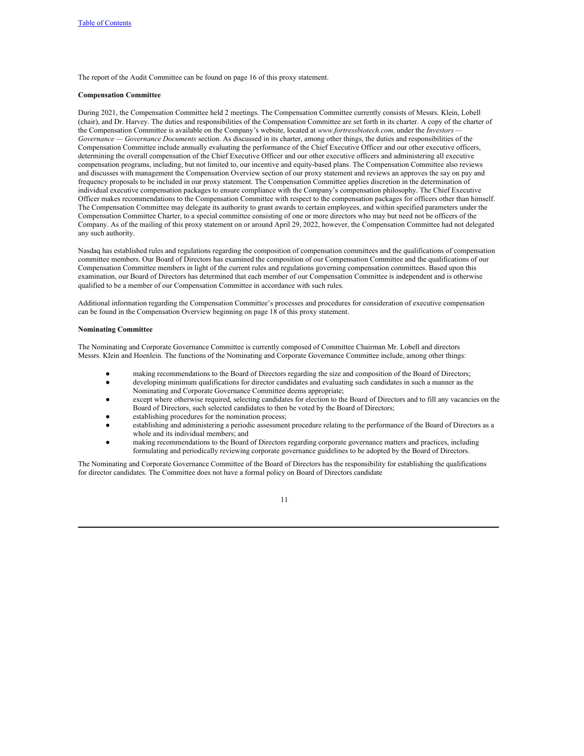The report of the Audit Committee can be found on page 16 of this proxy statement.

## **Compensation Committee**

During 2021, the Compensation Committee held 2 meetings. The Compensation Committee currently consists of Messrs. Klein, Lobell (chair), and Dr. Harvey. The duties and responsibilities of the Compensation Committee are set forth in its charter. A copy of the charter of the Compensation Committee is available on the Company's website, located at *www.fortressbiotech.com,* under the *Investors — Governance — Governance Documents* section. As discussed in its charter, among other things, the duties and responsibilities of the Compensation Committee include annually evaluating the performance of the Chief Executive Officer and our other executive officers, determining the overall compensation of the Chief Executive Officer and our other executive officers and administering all executive compensation programs, including, but not limited to, our incentive and equity-based plans. The Compensation Committee also reviews and discusses with management the Compensation Overview section of our proxy statement and reviews an approves the say on pay and frequency proposals to be included in our proxy statement. The Compensation Committee applies discretion in the determination of individual executive compensation packages to ensure compliance with the Company's compensation philosophy. The Chief Executive Officer makes recommendations to the Compensation Committee with respect to the compensation packages for officers other than himself. The Compensation Committee may delegate its authority to grant awards to certain employees, and within specified parameters under the Compensation Committee Charter, to a special committee consisting of one or more directors who may but need not be officers of the Company. As of the mailing of this proxy statement on or around April 29, 2022, however, the Compensation Committee had not delegated any such authority.

Nasdaq has established rules and regulations regarding the composition of compensation committees and the qualifications of compensation committee members. Our Board of Directors has examined the composition of our Compensation Committee and the qualifications of our Compensation Committee members in light of the current rules and regulations governing compensation committees. Based upon this examination, our Board of Directors has determined that each member of our Compensation Committee is independent and is otherwise qualified to be a member of our Compensation Committee in accordance with such rules.

Additional information regarding the Compensation Committee's processes and procedures for consideration of executive compensation can be found in the Compensation Overview beginning on page 18 of this proxy statement.

## **Nominating Committee**

The Nominating and Corporate Governance Committee is currently composed of Committee Chairman Mr. Lobell and directors Messrs. Klein and Hoenlein. The functions of the Nominating and Corporate Governance Committee include, among other things:

- making recommendations to the Board of Directors regarding the size and composition of the Board of Directors;
- developing minimum qualifications for director candidates and evaluating such candidates in such a manner as the Nominating and Corporate Governance Committee deems appropriate;
- except where otherwise required, selecting candidates for election to the Board of Directors and to fill any vacancies on the Board of Directors, such selected candidates to then be voted by the Board of Directors;
- establishing procedures for the nomination process:
- establishing and administering a periodic assessment procedure relating to the performance of the Board of Directors as a whole and its individual members; and
- making recommendations to the Board of Directors regarding corporate governance matters and practices, including formulating and periodically reviewing corporate governance guidelines to be adopted by the Board of Directors.

The Nominating and Corporate Governance Committee of the Board of Directors has the responsibility for establishing the qualifications for director candidates. The Committee does not have a formal policy on Board of Directors candidate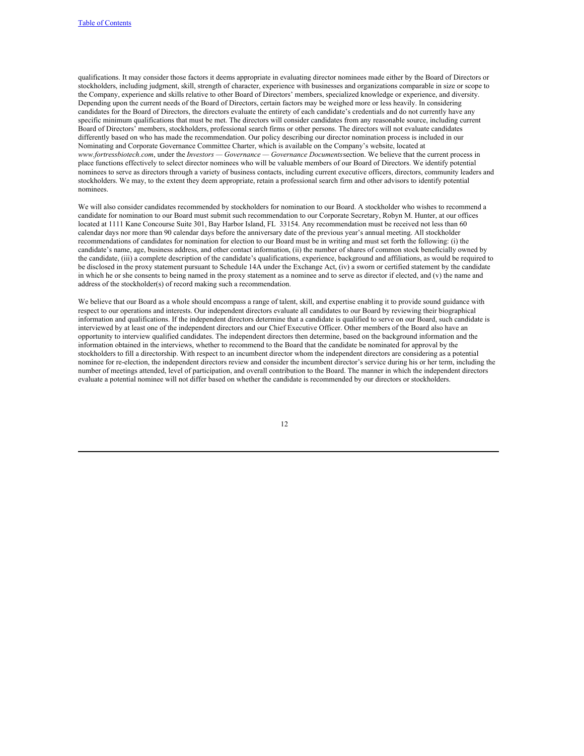qualifications. It may consider those factors it deems appropriate in evaluating director nominees made either by the Board of Directors or stockholders, including judgment, skill, strength of character, experience with businesses and organizations comparable in size or scope to the Company, experience and skills relative to other Board of Directors' members, specialized knowledge or experience, and diversity. Depending upon the current needs of the Board of Directors, certain factors may be weighed more or less heavily. In considering candidates for the Board of Directors, the directors evaluate the entirety of each candidate's credentials and do not currently have any specific minimum qualifications that must be met. The directors will consider candidates from any reasonable source, including current Board of Directors' members, stockholders, professional search firms or other persons. The directors will not evaluate candidates differently based on who has made the recommendation. Our policy describing our director nomination process is included in our Nominating and Corporate Governance Committee Charter, which is available on the Company's website, located at *www.fortressbiotech.com*, under the *Investors — Governance — Governance Documents*section. We believe that the current process in place functions effectively to select director nominees who will be valuable members of our Board of Directors. We identify potential nominees to serve as directors through a variety of business contacts, including current executive officers, directors, community leaders and stockholders. We may, to the extent they deem appropriate, retain a professional search firm and other advisors to identify potential nominees.

We will also consider candidates recommended by stockholders for nomination to our Board. A stockholder who wishes to recommend a candidate for nomination to our Board must submit such recommendation to our Corporate Secretary, Robyn M. Hunter, at our offices located at 1111 Kane Concourse Suite 301, Bay Harbor Island, FL 33154. Any recommendation must be received not less than 60 calendar days nor more than 90 calendar days before the anniversary date of the previous year's annual meeting. All stockholder recommendations of candidates for nomination for election to our Board must be in writing and must set forth the following: (i) the candidate's name, age, business address, and other contact information, (ii) the number of shares of common stock beneficially owned by the candidate, (iii) a complete description of the candidate's qualifications, experience, background and affiliations, as would be required to be disclosed in the proxy statement pursuant to Schedule 14A under the Exchange Act, (iv) a sworn or certified statement by the candidate in which he or she consents to being named in the proxy statement as a nominee and to serve as director if elected, and (v) the name and address of the stockholder(s) of record making such a recommendation.

We believe that our Board as a whole should encompass a range of talent, skill, and expertise enabling it to provide sound guidance with respect to our operations and interests. Our independent directors evaluate all candidates to our Board by reviewing their biographical information and qualifications. If the independent directors determine that a candidate is qualified to serve on our Board, such candidate is interviewed by at least one of the independent directors and our Chief Executive Officer. Other members of the Board also have an opportunity to interview qualified candidates. The independent directors then determine, based on the background information and the information obtained in the interviews, whether to recommend to the Board that the candidate be nominated for approval by the stockholders to fill a directorship. With respect to an incumbent director whom the independent directors are considering as a potential nominee for re-election, the independent directors review and consider the incumbent director's service during his or her term, including the number of meetings attended, level of participation, and overall contribution to the Board. The manner in which the independent directors evaluate a potential nominee will not differ based on whether the candidate is recommended by our directors or stockholders.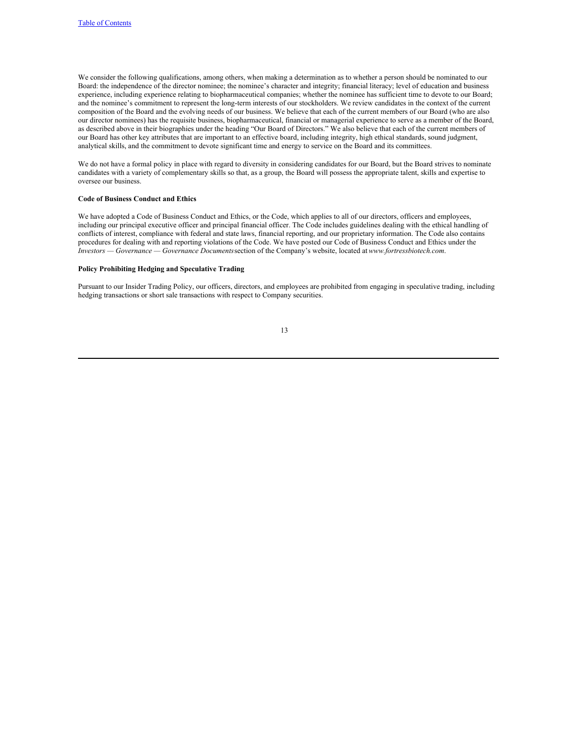We consider the following qualifications, among others, when making a determination as to whether a person should be nominated to our Board: the independence of the director nominee; the nominee's character and integrity; financial literacy; level of education and business experience, including experience relating to biopharmaceutical companies; whether the nominee has sufficient time to devote to our Board; and the nominee's commitment to represent the long-term interests of our stockholders. We review candidates in the context of the current composition of the Board and the evolving needs of our business. We believe that each of the current members of our Board (who are also our director nominees) has the requisite business, biopharmaceutical, financial or managerial experience to serve as a member of the Board, as described above in their biographies under the heading "Our Board of Directors." We also believe that each of the current members of our Board has other key attributes that are important to an effective board, including integrity, high ethical standards, sound judgment, analytical skills, and the commitment to devote significant time and energy to service on the Board and its committees.

We do not have a formal policy in place with regard to diversity in considering candidates for our Board, but the Board strives to nominate candidates with a variety of complementary skills so that, as a group, the Board will possess the appropriate talent, skills and expertise to oversee our business.

## **Code of Business Conduct and Ethics**

We have adopted a Code of Business Conduct and Ethics, or the Code, which applies to all of our directors, officers and employees, including our principal executive officer and principal financial officer. The Code includes guidelines dealing with the ethical handling of conflicts of interest, compliance with federal and state laws, financial reporting, and our proprietary information. The Code also contains procedures for dealing with and reporting violations of the Code. We have posted our Code of Business Conduct and Ethics under the *Investors — Governance — Governance Documents*section of the Company's website, located at*www.fortressbiotech.com*.

## **Policy Prohibiting Hedging and Speculative Trading**

Pursuant to our Insider Trading Policy, our officers, directors, and employees are prohibited from engaging in speculative trading, including hedging transactions or short sale transactions with respect to Company securities.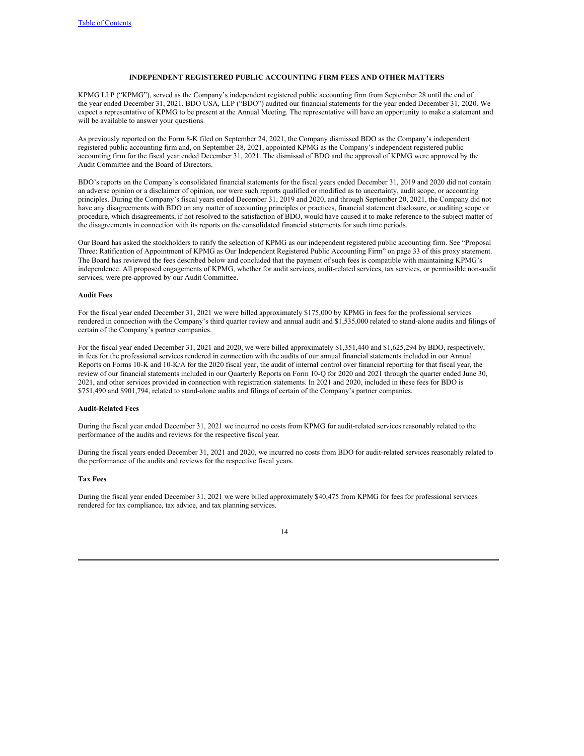# <span id="page-20-0"></span>**INDEPENDENT REGISTERED PUBLIC ACCOUNTING FIRM FEES AND OTHER MATTERS**

KPMG LLP ("KPMG"), served as the Company's independent registered public accounting firm from September 28 until the end of the year ended December 31, 2021. BDO USA, LLP ("BDO") audited our financial statements for the year ended December 31, 2020. We expect a representative of KPMG to be present at the Annual Meeting. The representative will have an opportunity to make a statement and will be available to answer your questions.

As previously reported on the Form 8-K filed on September 24, 2021, the Company dismissed BDO as the Company's independent registered public accounting firm and, on September 28, 2021, appointed KPMG as the Company's independent registered public accounting firm for the fiscal year ended December 31, 2021. The dismissal of BDO and the approval of KPMG were approved by the Audit Committee and the Board of Directors.

BDO's reports on the Company's consolidated financial statements for the fiscal years ended December 31, 2019 and 2020 did not contain an adverse opinion or a disclaimer of opinion, nor were such reports qualified or modified as to uncertainty, audit scope, or accounting principles. During the Company's fiscal years ended December 31, 2019 and 2020, and through September 20, 2021, the Company did not have any disagreements with BDO on any matter of accounting principles or practices, financial statement disclosure, or auditing scope or procedure, which disagreements, if not resolved to the satisfaction of BDO, would have caused it to make reference to the subject matter of the disagreements in connection with its reports on the consolidated financial statements for such time periods.

Our Board has asked the stockholders to ratify the selection of KPMG as our independent registered public accounting firm. See "Proposal Three: Ratification of Appointment of KPMG as Our Independent Registered Public Accounting Firm" on page 33 of this proxy statement. The Board has reviewed the fees described below and concluded that the payment of such fees is compatible with maintaining KPMG's independence. All proposed engagements of KPMG, whether for audit services, audit-related services, tax services, or permissible non-audit services, were pre-approved by our Audit Committee.

# **Audit Fees**

For the fiscal year ended December 31, 2021 we were billed approximately \$175,000 by KPMG in fees for the professional services rendered in connection with the Company's third quarter review and annual audit and \$1,535,000 related to stand-alone audits and filings of certain of the Company's partner companies.

For the fiscal year ended December 31, 2021 and 2020, we were billed approximately \$1,351,440 and \$1,625,294 by BDO, respectively, in fees for the professional services rendered in connection with the audits of our annual financial statements included in our Annual Reports on Forms 10-K and 10-K/A for the 2020 fiscal year, the audit of internal control over financial reporting for that fiscal year, the review of our financial statements included in our Quarterly Reports on Form 10-Q for 2020 and 2021 through the quarter ended June 30, 2021, and other services provided in connection with registration statements. In 2021 and 2020, included in these fees for BDO is \$751,490 and \$901,794, related to stand-alone audits and filings of certain of the Company's partner companies.

# **Audit-Related Fees**

During the fiscal year ended December 31, 2021 we incurred no costs from KPMG for audit-related services reasonably related to the performance of the audits and reviews for the respective fiscal year.

During the fiscal years ended December 31, 2021 and 2020, we incurred no costs from BDO for audit-related services reasonably related to the performance of the audits and reviews for the respective fiscal years.

## **Tax Fees**

During the fiscal year ended December 31, 2021 we were billed approximately \$40,475 from KPMG for fees for professional services rendered for tax compliance, tax advice, and tax planning services.

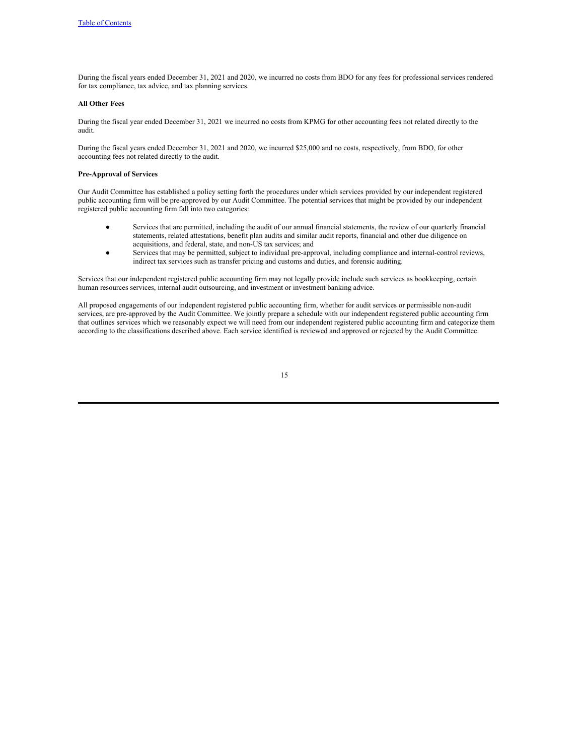During the fiscal years ended December 31, 2021 and 2020, we incurred no costs from BDO for any fees for professional services rendered for tax compliance, tax advice, and tax planning services.

# **All Other Fees**

During the fiscal year ended December 31, 2021 we incurred no costs from KPMG for other accounting fees not related directly to the audit.

During the fiscal years ended December 31, 2021 and 2020, we incurred \$25,000 and no costs, respectively, from BDO, for other accounting fees not related directly to the audit.

## **Pre-Approval of Services**

Our Audit Committee has established a policy setting forth the procedures under which services provided by our independent registered public accounting firm will be pre-approved by our Audit Committee. The potential services that might be provided by our independent registered public accounting firm fall into two categories:

- Services that are permitted, including the audit of our annual financial statements, the review of our quarterly financial statements, related attestations, benefit plan audits and similar audit reports, financial and other due diligence on acquisitions, and federal, state, and non-US tax services; and
- Services that may be permitted, subject to individual pre-approval, including compliance and internal-control reviews, indirect tax services such as transfer pricing and customs and duties, and forensic auditing.

Services that our independent registered public accounting firm may not legally provide include such services as bookkeeping, certain human resources services, internal audit outsourcing, and investment or investment banking advice.

All proposed engagements of our independent registered public accounting firm, whether for audit services or permissible non-audit services, are pre-approved by the Audit Committee. We jointly prepare a schedule with our independent registered public accounting firm that outlines services which we reasonably expect we will need from our independent registered public accounting firm and categorize them according to the classifications described above. Each service identified is reviewed and approved or rejected by the Audit Committee.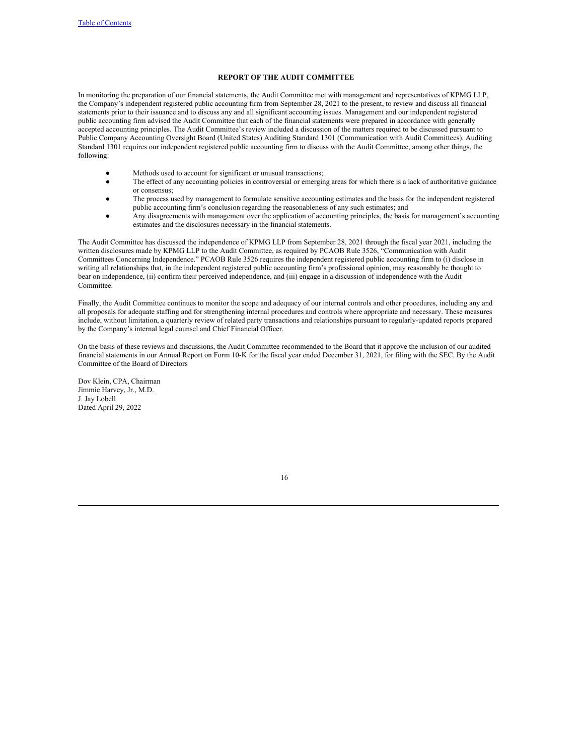# <span id="page-22-0"></span>**REPORT OF THE AUDIT COMMITTEE**

In monitoring the preparation of our financial statements, the Audit Committee met with management and representatives of KPMG LLP, the Company's independent registered public accounting firm from September 28, 2021 to the present, to review and discuss all financial statements prior to their issuance and to discuss any and all significant accounting issues. Management and our independent registered public accounting firm advised the Audit Committee that each of the financial statements were prepared in accordance with generally accepted accounting principles. The Audit Committee's review included a discussion of the matters required to be discussed pursuant to Public Company Accounting Oversight Board (United States) Auditing Standard 1301 (Communication with Audit Committees). Auditing Standard 1301 requires our independent registered public accounting firm to discuss with the Audit Committee, among other things, the following:

- Methods used to account for significant or unusual transactions;
- The effect of any accounting policies in controversial or emerging areas for which there is a lack of authoritative guidance or consensus;
- The process used by management to formulate sensitive accounting estimates and the basis for the independent registered public accounting firm's conclusion regarding the reasonableness of any such estimates; and
- Any disagreements with management over the application of accounting principles, the basis for management's accounting estimates and the disclosures necessary in the financial statements.

The Audit Committee has discussed the independence of KPMG LLP from September 28, 2021 through the fiscal year 2021, including the written disclosures made by KPMG LLP to the Audit Committee, as required by PCAOB Rule 3526, "Communication with Audit Committees Concerning Independence." PCAOB Rule 3526 requires the independent registered public accounting firm to (i) disclose in writing all relationships that, in the independent registered public accounting firm's professional opinion, may reasonably be thought to bear on independence, (ii) confirm their perceived independence, and (iii) engage in a discussion of independence with the Audit Committee.

Finally, the Audit Committee continues to monitor the scope and adequacy of our internal controls and other procedures, including any and all proposals for adequate staffing and for strengthening internal procedures and controls where appropriate and necessary. These measures include, without limitation, a quarterly review of related party transactions and relationships pursuant to regularly-updated reports prepared by the Company's internal legal counsel and Chief Financial Officer.

On the basis of these reviews and discussions, the Audit Committee recommended to the Board that it approve the inclusion of our audited financial statements in our Annual Report on Form 10-K for the fiscal year ended December 31, 2021, for filing with the SEC. By the Audit Committee of the Board of Directors

Dov Klein, CPA, Chairman Jimmie Harvey, Jr., M.D. J. Jay Lobell Dated April 29, 2022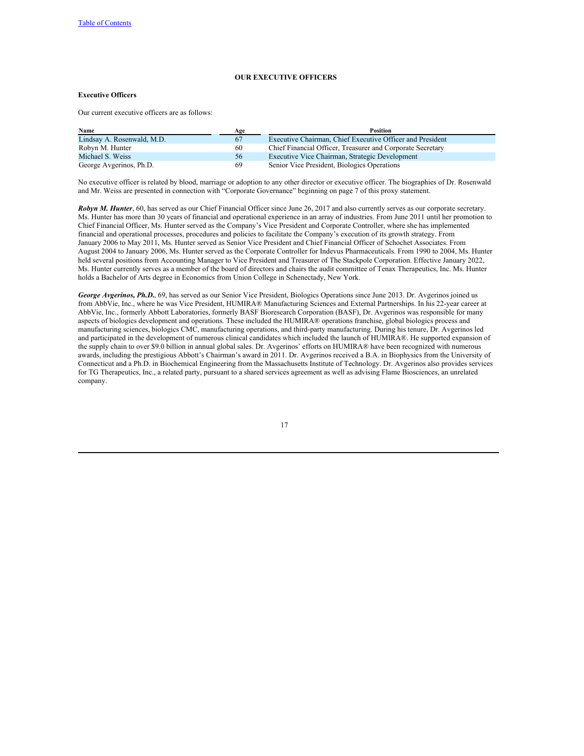# <span id="page-23-0"></span>**OUR EXECUTIVE OFFICERS**

# **Executive Officers**

Our current executive officers are as follows:

| Name                       | Age | Position                                                   |
|----------------------------|-----|------------------------------------------------------------|
| Lindsay A. Rosenwald, M.D. | 67  | Executive Chairman, Chief Executive Officer and President  |
| Robyn M. Hunter            | 60  | Chief Financial Officer, Treasurer and Corporate Secretary |
| Michael S. Weiss           | 56  | Executive Vice Chairman, Strategic Development             |
| George Avgerinos, Ph.D.    | 69  | Senior Vice President, Biologics Operations                |

No executive officer is related by blood, marriage or adoption to any other director or executive officer. The biographies of Dr. Rosenwald and Mr. Weiss are presented in connection with "Corporate Governance" beginning on page 7 of this proxy statement.

*Robyn M. Hunter*, 60, has served as our Chief Financial Officer since June 26, 2017 and also currently serves as our corporate secretary. Ms. Hunter has more than 30 years of financial and operational experience in an array of industries. From June 2011 until her promotion to Chief Financial Officer, Ms. Hunter served as the Company's Vice President and Corporate Controller, where she has implemented financial and operational processes, procedures and policies to facilitate the Company's execution of its growth strategy. From January 2006 to May 2011, Ms. Hunter served as Senior Vice President and Chief Financial Officer of Schochet Associates. From August 2004 to January 2006, Ms. Hunter served as the Corporate Controller for Indevus Pharmaceuticals. From 1990 to 2004, Ms. Hunter held several positions from Accounting Manager to Vice President and Treasurer of The Stackpole Corporation. Effective January 2022, Ms. Hunter currently serves as a member of the board of directors and chairs the audit committee of Tenax Therapeutics, Inc. Ms. Hunter holds a Bachelor of Arts degree in Economics from Union College in Schenectady, New York.

*George Avgerinos, Ph.D.*, 69, has served as our Senior Vice President, Biologics Operations since June 2013. Dr. Avgerinos joined us from AbbVie, Inc., where he was Vice President, HUMIRA® Manufacturing Sciences and External Partnerships. In his 22-year career at AbbVie, Inc., formerly Abbott Laboratories, formerly BASF Bioresearch Corporation (BASF), Dr. Avgerinos was responsible for many aspects of biologics development and operations. These included the HUMIRA® operations franchise, global biologics process and manufacturing sciences, biologics CMC, manufacturing operations, and third-party manufacturing. During his tenure, Dr. Avgerinos led and participated in the development of numerous clinical candidates which included the launch of HUMIRA®. He supported expansion of the supply chain to over \$9.0 billion in annual global sales. Dr. Avgerinos' efforts on HUMIRA® have been recognized with numerous awards, including the prestigious Abbott's Chairman's award in 2011. Dr. Avgerinos received a B.A. in Biophysics from the University of Connecticut and a Ph.D. in Biochemical Engineering from the Massachusetts Institute of Technology. Dr. Avgerinos also provides services for TG Therapeutics, Inc., a related party, pursuant to a shared services agreement as well as advising Flame Biosciences, an unrelated company.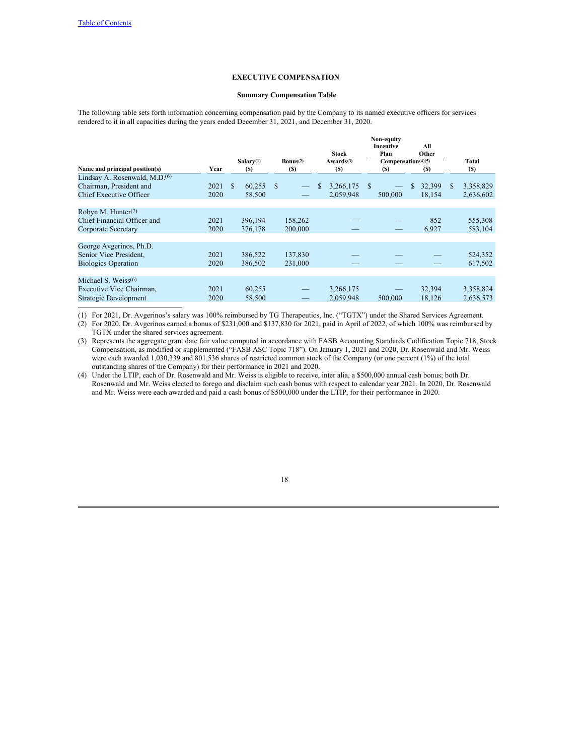# **EXECUTIVE COMPENSATION**

## <span id="page-24-0"></span>**Summary Compensation Table**

The following table sets forth information concerning compensation paid by the Company to its named executive officers for services rendered to it in all capacities during the years ended December 31, 2021, and December 31, 2020.

|      |     |         |           |         |                        | <b>Stock</b>                 |          | Non-equity<br>Plan |           | All<br>Other |                                |              |
|------|-----|---------|-----------|---------|------------------------|------------------------------|----------|--------------------|-----------|--------------|--------------------------------|--------------|
| Year |     | (S)     |           | (S)     |                        | Awards <sup>(3)</sup><br>(S) |          | (S)                |           | (S)          |                                | Total<br>(S) |
|      |     |         |           |         |                        |                              |          |                    |           |              |                                |              |
| 2021 | \$. | 60,255  | S         |         | \$                     | 3,266,175                    | <b>S</b> |                    | \$        | 32,399       | S                              | 3,358,829    |
| 2020 |     | 58,500  |           |         |                        | 2.059.948                    |          | 500,000            |           | 18.154       |                                | 2,636,602    |
|      |     |         |           |         |                        |                              |          |                    |           |              |                                |              |
|      |     |         |           |         |                        |                              |          |                    |           |              |                                |              |
| 2021 |     | 396,194 |           | 158,262 |                        |                              |          |                    |           | 852          |                                | 555,308      |
| 2020 |     | 376,178 |           | 200,000 |                        |                              |          |                    |           | 6,927        |                                | 583,104      |
|      |     |         |           |         |                        |                              |          |                    |           |              |                                |              |
|      |     |         |           |         |                        |                              |          |                    |           |              |                                |              |
| 2021 |     | 386,522 |           | 137,830 |                        |                              |          |                    |           |              |                                | 524,352      |
| 2020 |     | 386,502 |           | 231,000 |                        |                              |          |                    |           |              |                                | 617,502      |
|      |     |         |           |         |                        |                              |          |                    |           |              |                                |              |
|      |     |         |           |         |                        |                              |          |                    |           |              |                                |              |
| 2021 |     | 60,255  |           |         |                        | 3,266,175                    |          |                    |           | 32,394       |                                | 3,358,824    |
| 2020 |     | 58,500  |           |         |                        | 2,059,948                    |          | 500,000            |           | 18,126       |                                | 2,636,573    |
|      |     |         | Salarv(1) |         | $\mathbf{Bonus}^{(2)}$ |                              |          |                    | Incentive |              | Compensation <sup>(4)(5)</sup> |              |

(1) For 2021, Dr. Avgerinos's salary was 100% reimbursed by TG Therapeutics, Inc. ("TGTX") under the Shared Services Agreement.

(2) For 2020, Dr. Avgerinos earned a bonus of \$231,000 and \$137,830 for 2021, paid in April of 2022, of which 100% was reimbursed by TGTX under the shared services agreement.

(3) Represents the aggregate grant date fair value computed in accordance with FASB Accounting Standards Codification Topic 718, Stock Compensation, as modified or supplemented ("FASB ASC Topic 718"). On January 1, 2021 and 2020, Dr. Rosenwald and Mr. Weiss were each awarded 1,030,339 and 801,536 shares of restricted common stock of the Company (or one percent (1%) of the total outstanding shares of the Company) for their performance in 2021 and 2020.

(4) Under the LTIP, each of Dr. Rosenwald and Mr. Weiss is eligible to receive, inter alia, a \$500,000 annual cash bonus; both Dr. Rosenwald and Mr. Weiss elected to forego and disclaim such cash bonus with respect to calendar year 2021. In 2020, Dr. Rosenwald and Mr. Weiss were each awarded and paid a cash bonus of \$500,000 under the LTIP, for their performance in 2020.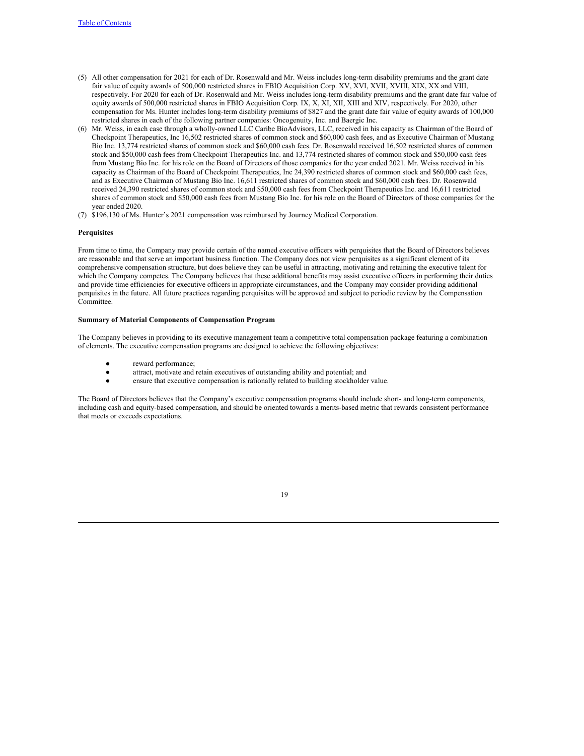- (5) All other compensation for 2021 for each of Dr. Rosenwald and Mr. Weiss includes long-term disability premiums and the grant date fair value of equity awards of 500,000 restricted shares in FBIO Acquisition Corp. XV, XVI, XVII, XVIII, XIX, XX and VIII, respectively. For 2020 for each of Dr. Rosenwald and Mr. Weiss includes long-term disability premiums and the grant date fair value of equity awards of 500,000 restricted shares in FBIO Acquisition Corp. IX, X, XI, XII, XIII and XIV, respectively. For 2020, other compensation for Ms. Hunter includes long-term disability premiums of \$827 and the grant date fair value of equity awards of 100,000 restricted shares in each of the following partner companies: Oncogenuity, Inc. and Baergic Inc.
- (6) Mr. Weiss, in each case through a wholly-owned LLC Caribe BioAdvisors, LLC, received in his capacity as Chairman of the Board of Checkpoint Therapeutics, Inc 16,502 restricted shares of common stock and \$60,000 cash fees, and as Executive Chairman of Mustang Bio Inc. 13,774 restricted shares of common stock and \$60,000 cash fees. Dr. Rosenwald received 16,502 restricted shares of common stock and \$50,000 cash fees from Checkpoint Therapeutics Inc. and 13,774 restricted shares of common stock and \$50,000 cash fees from Mustang Bio Inc. for his role on the Board of Directors of those companies for the year ended 2021. Mr. Weiss received in his capacity as Chairman of the Board of Checkpoint Therapeutics, Inc 24,390 restricted shares of common stock and \$60,000 cash fees, and as Executive Chairman of Mustang Bio Inc. 16,611 restricted shares of common stock and \$60,000 cash fees. Dr. Rosenwald received 24,390 restricted shares of common stock and \$50,000 cash fees from Checkpoint Therapeutics Inc. and 16,611 restricted shares of common stock and \$50,000 cash fees from Mustang Bio Inc. for his role on the Board of Directors of those companies for the year ended 2020.
- (7) \$196,130 of Ms. Hunter's 2021 compensation was reimbursed by Journey Medical Corporation.

## **Perquisites**

From time to time, the Company may provide certain of the named executive officers with perquisites that the Board of Directors believes are reasonable and that serve an important business function. The Company does not view perquisites as a significant element of its comprehensive compensation structure, but does believe they can be useful in attracting, motivating and retaining the executive talent for which the Company competes. The Company believes that these additional benefits may assist executive officers in performing their duties and provide time efficiencies for executive officers in appropriate circumstances, and the Company may consider providing additional perquisites in the future. All future practices regarding perquisites will be approved and subject to periodic review by the Compensation Committee.

# **Summary of Material Components of Compensation Program**

The Company believes in providing to its executive management team a competitive total compensation package featuring a combination of elements. The executive compensation programs are designed to achieve the following objectives:

- reward performance;
- attract, motivate and retain executives of outstanding ability and potential; and
- ensure that executive compensation is rationally related to building stockholder value.

The Board of Directors believes that the Company's executive compensation programs should include short- and long-term components, including cash and equity-based compensation, and should be oriented towards a merits-based metric that rewards consistent performance that meets or exceeds expectations.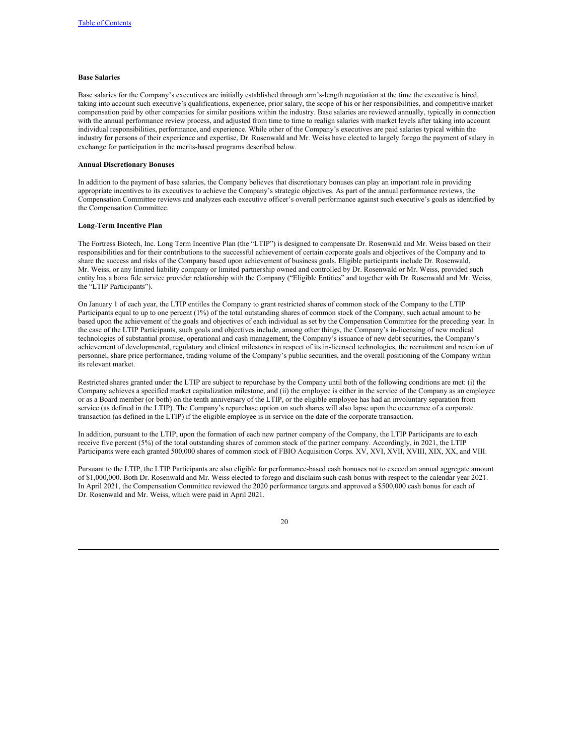# **Base Salaries**

Base salaries for the Company's executives are initially established through arm's-length negotiation at the time the executive is hired, taking into account such executive's qualifications, experience, prior salary, the scope of his or her responsibilities, and competitive market compensation paid by other companies for similar positions within the industry. Base salaries are reviewed annually, typically in connection with the annual performance review process, and adjusted from time to time to realign salaries with market levels after taking into account individual responsibilities, performance, and experience. While other of the Company's executives are paid salaries typical within the industry for persons of their experience and expertise, Dr. Rosenwald and Mr. Weiss have elected to largely forego the payment of salary in exchange for participation in the merits-based programs described below.

## **Annual Discretionary Bonuses**

In addition to the payment of base salaries, the Company believes that discretionary bonuses can play an important role in providing appropriate incentives to its executives to achieve the Company's strategic objectives. As part of the annual performance reviews, the Compensation Committee reviews and analyzes each executive officer's overall performance against such executive's goals as identified by the Compensation Committee.

## **Long-Term Incentive Plan**

The Fortress Biotech, Inc. Long Term Incentive Plan (the "LTIP") is designed to compensate Dr. Rosenwald and Mr. Weiss based on their responsibilities and for their contributions to the successful achievement of certain corporate goals and objectives of the Company and to share the success and risks of the Company based upon achievement of business goals. Eligible participants include Dr. Rosenwald, Mr. Weiss, or any limited liability company or limited partnership owned and controlled by Dr. Rosenwald or Mr. Weiss, provided such entity has a bona fide service provider relationship with the Company ("Eligible Entities" and together with Dr. Rosenwald and Mr. Weiss, the "LTIP Participants").

On January 1 of each year, the LTIP entitles the Company to grant restricted shares of common stock of the Company to the LTIP Participants equal to up to one percent (1%) of the total outstanding shares of common stock of the Company, such actual amount to be based upon the achievement of the goals and objectives of each individual as set by the Compensation Committee for the preceding year. In the case of the LTIP Participants, such goals and objectives include, among other things, the Company's in-licensing of new medical technologies of substantial promise, operational and cash management, the Company's issuance of new debt securities, the Company's achievement of developmental, regulatory and clinical milestones in respect of its in-licensed technologies, the recruitment and retention of personnel, share price performance, trading volume of the Company's public securities, and the overall positioning of the Company within its relevant market.

Restricted shares granted under the LTIP are subject to repurchase by the Company until both of the following conditions are met: (i) the Company achieves a specified market capitalization milestone, and (ii) the employee is either in the service of the Company as an employee or as a Board member (or both) on the tenth anniversary of the LTIP, or the eligible employee has had an involuntary separation from service (as defined in the LTIP). The Company's repurchase option on such shares will also lapse upon the occurrence of a corporate transaction (as defined in the LTIP) if the eligible employee is in service on the date of the corporate transaction.

In addition, pursuant to the LTIP, upon the formation of each new partner company of the Company, the LTIP Participants are to each receive five percent (5%) of the total outstanding shares of common stock of the partner company. Accordingly, in 2021, the LTIP Participants were each granted 500,000 shares of common stock of FBIO Acquisition Corps. XV, XVI, XVII, XVIII, XIX, XX, and VIII.

Pursuant to the LTIP, the LTIP Participants are also eligible for performance-based cash bonuses not to exceed an annual aggregate amount of \$1,000,000. Both Dr. Rosenwald and Mr. Weiss elected to forego and disclaim such cash bonus with respect to the calendar year 2021. In April 2021, the Compensation Committee reviewed the 2020 performance targets and approved a \$500,000 cash bonus for each of Dr. Rosenwald and Mr. Weiss, which were paid in April 2021.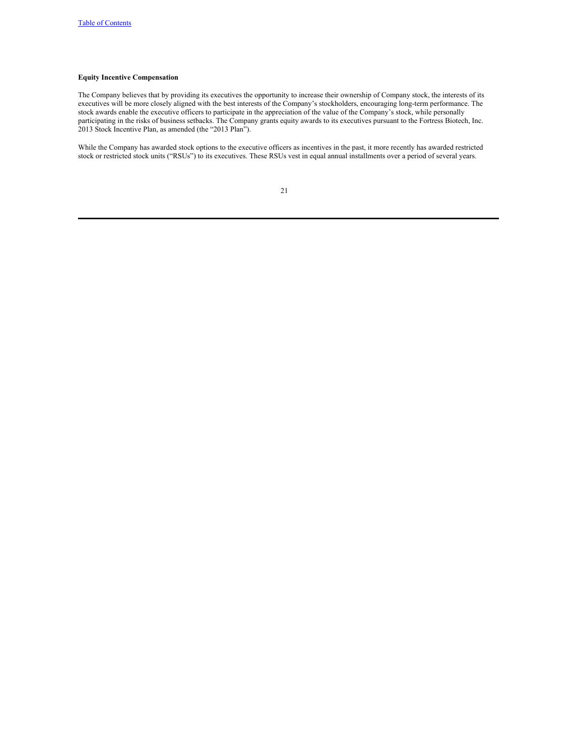# **Equity Incentive Compensation**

The Company believes that by providing its executives the opportunity to increase their ownership of Company stock, the interests of its executives will be more closely aligned with the best interests of the Company's stockholders, encouraging long-term performance. The stock awards enable the executive officers to participate in the appreciation of the value of the Company's stock, while personally participating in the risks of business setbacks. The Company grants equity awards to its executives pursuant to the Fortress Biotech, Inc. 2013 Stock Incentive Plan, as amended (the "2013 Plan").

While the Company has awarded stock options to the executive officers as incentives in the past, it more recently has awarded restricted stock or restricted stock units ("RSUs") to its executives. These RSUs vest in equal annual installments over a period of several years.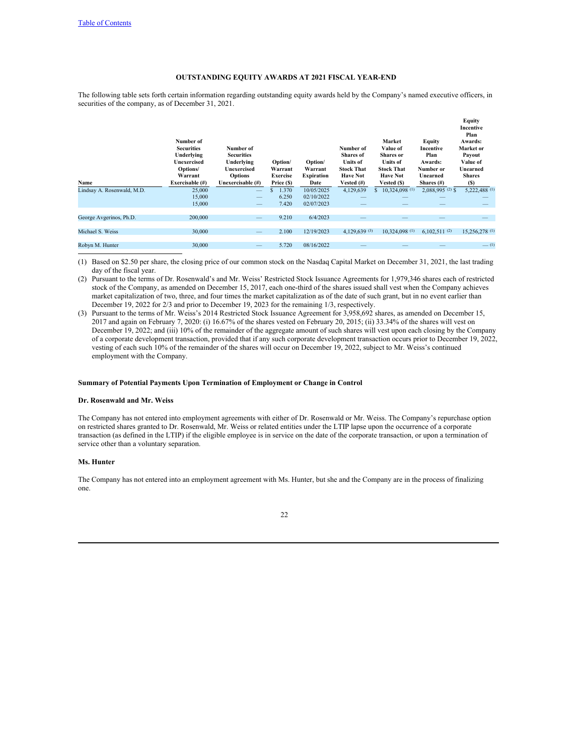# <span id="page-28-0"></span>**OUTSTANDING EQUITY AWARDS AT 2021 FISCAL YEAR-END**

The following table sets forth certain information regarding outstanding equity awards held by the Company's named executive officers, in securities of the company, as of December 31, 2021.

| Number of<br><b>Securities</b><br>Underlying<br>Unexercised<br>Options/<br>Warrant | Number of<br><b>Securities</b><br>Underlying<br>Unexercised<br><b>Options</b> | Option/<br>Warrant<br>Exercise | Option/<br>Warrant<br><b>Expiration</b> | Number of<br><b>Shares</b> of<br><b>Units of</b><br><b>Stock That</b><br><b>Have Not</b> | Market<br>Value of<br><b>Shares</b> or<br><b>Units of</b><br><b>Stock That</b><br><b>Have Not</b> | Equity<br>Incentive<br>Plan<br>Awards:<br>Number or<br>Unearned | <b>Equity</b><br><b>Incentive</b><br>Plan<br>Awards:<br>Market or<br>Payout<br>Value of<br>Unearned<br><b>Shares</b><br>(S) |
|------------------------------------------------------------------------------------|-------------------------------------------------------------------------------|--------------------------------|-----------------------------------------|------------------------------------------------------------------------------------------|---------------------------------------------------------------------------------------------------|-----------------------------------------------------------------|-----------------------------------------------------------------------------------------------------------------------------|
| 25,000                                                                             |                                                                               | 1.370                          | 10/05/2025                              | 4,129,639                                                                                | 10.324,098 (1)<br>S.                                                                              | $2.088,995(2)$ \$                                               | 5,222,488 (1)                                                                                                               |
| 15,000                                                                             | --                                                                            | 6.250                          | 02/10/2022                              |                                                                                          |                                                                                                   |                                                                 |                                                                                                                             |
| 15,000                                                                             |                                                                               |                                |                                         |                                                                                          |                                                                                                   |                                                                 |                                                                                                                             |
| 200,000                                                                            |                                                                               | 9.210                          | 6/4/2023                                |                                                                                          |                                                                                                   |                                                                 |                                                                                                                             |
| 30,000                                                                             | --                                                                            | 2.100                          | 12/19/2023                              | 4,129,639 (3)                                                                            | 10.324,098 (1)                                                                                    | 6.102.511(2)                                                    | 15.256.278 (1)                                                                                                              |
|                                                                                    |                                                                               |                                |                                         |                                                                                          |                                                                                                   |                                                                 |                                                                                                                             |
| 30,000                                                                             |                                                                               | 5.720                          | 08/16/2022                              |                                                                                          |                                                                                                   |                                                                 | $-$ (1)                                                                                                                     |
|                                                                                    | Exercisable (#)                                                               | Unexercisable (#)              | Price (\$)<br>7.420                     | Date<br>02/07/2023                                                                       | Vested $(\#)$                                                                                     | Vested (\$)                                                     | Shares $(\#)$                                                                                                               |

(1) Based on \$2.50 per share, the closing price of our common stock on the Nasdaq Capital Market on December 31, 2021, the last trading day of the fiscal year.

(2) Pursuant to the terms of Dr. Rosenwald's and Mr. Weiss' Restricted Stock Issuance Agreements for 1,979,346 shares each of restricted stock of the Company, as amended on December 15, 2017, each one-third of the shares issued shall vest when the Company achieves market capitalization of two, three, and four times the market capitalization as of the date of such grant, but in no event earlier than December 19, 2022 for 2/3 and prior to December 19, 2023 for the remaining 1/3, respectively.

(3) Pursuant to the terms of Mr. Weiss's 2014 Restricted Stock Issuance Agreement for 3,958,692 shares, as amended on December 15, 2017 and again on February 7, 2020: (i) 16.67% of the shares vested on February 20, 2015; (ii) 33.34% of the shares will vest on December 19, 2022; and (iii) 10% of the remainder of the aggregate amount of such shares will vest upon each closing by the Company of a corporate development transaction, provided that if any such corporate development transaction occurs prior to December 19, 2022, vesting of each such 10% of the remainder of the shares will occur on December 19, 2022, subject to Mr. Weiss's continued employment with the Company.

# **Summary of Potential Payments Upon Termination of Employment or Change in Control**

## **Dr. Rosenwald and Mr. Weiss**

The Company has not entered into employment agreements with either of Dr. Rosenwald or Mr. Weiss. The Company's repurchase option on restricted shares granted to Dr. Rosenwald, Mr. Weiss or related entities under the LTIP lapse upon the occurrence of a corporate transaction (as defined in the LTIP) if the eligible employee is in service on the date of the corporate transaction, or upon a termination of service other than a voluntary separation.

# **Ms. Hunter**

The Company has not entered into an employment agreement with Ms. Hunter, but she and the Company are in the process of finalizing one.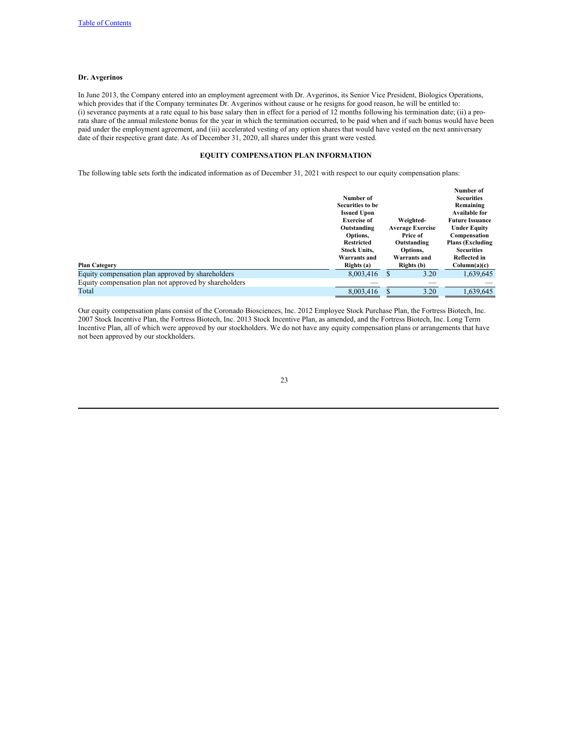# **Dr. Avgerinos**

In June 2013, the Company entered into an employment agreement with Dr. Avgerinos, its Senior Vice President, Biologics Operations, which provides that if the Company terminates Dr. Avgerinos without cause or he resigns for good reason, he will be entitled to: (i) severance payments at a rate equal to his base salary then in effect for a period of 12 months following his termination date; (ii) a prorata share of the annual milestone bonus for the year in which the termination occurred, to be paid when and if such bonus would have been paid under the employment agreement, and (iii) accelerated vesting of any option shares that would have vested on the next anniversary date of their respective grant date. As of December 31, 2020, all shares under this grant were vested.

# <span id="page-29-0"></span>**EQUITY COMPENSATION PLAN INFORMATION**

The following table sets forth the indicated information as of December 31, 2021 with respect to our equity compensation plans:

|                                                       |                     |   |                         | Number of               |
|-------------------------------------------------------|---------------------|---|-------------------------|-------------------------|
|                                                       | Number of           |   |                         | <b>Securities</b>       |
|                                                       | Securities to be    |   |                         | Remaining               |
|                                                       | <b>Issued Upon</b>  |   |                         | <b>Available for</b>    |
|                                                       | <b>Exercise of</b>  |   | Weighted-               | <b>Future Issuance</b>  |
|                                                       | Outstanding         |   | <b>Average Exercise</b> | <b>Under Equity</b>     |
|                                                       | Options,            |   | Price of                | Compensation            |
|                                                       | <b>Restricted</b>   |   | Outstanding             | <b>Plans (Excluding</b> |
|                                                       | <b>Stock Units.</b> |   | Options,                | <b>Securities</b>       |
|                                                       | Warrants and        |   | Warrants and            | Reflected in            |
| <b>Plan Category</b>                                  | Rights (a)          |   | Rights (b)              | Column(a)(c)            |
| Equity compensation plan approved by shareholders     | 8,003,416           | S | 3.20                    | 1,639,645               |
| Equity compensation plan not approved by shareholders |                     |   |                         |                         |
| Total                                                 | 8,003,416           |   | 3.20                    | 1.639.645               |

Our equity compensation plans consist of the Coronado Biosciences, Inc. 2012 Employee Stock Purchase Plan, the Fortress Biotech, Inc. 2007 Stock Incentive Plan, the Fortress Biotech, Inc. 2013 Stock Incentive Plan, as amended, and the Fortress Biotech, Inc. Long Term Incentive Plan, all of which were approved by our stockholders. We do not have any equity compensation plans or arrangements that have not been approved by our stockholders.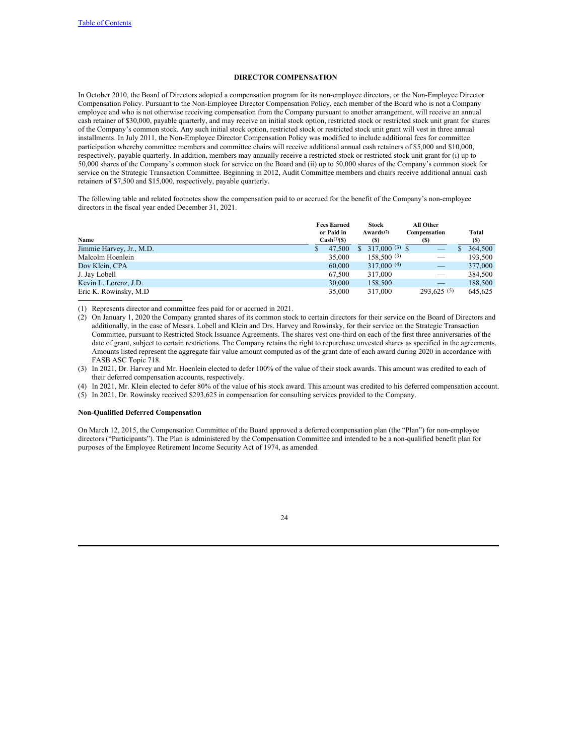# <span id="page-30-0"></span>**DIRECTOR COMPENSATION**

In October 2010, the Board of Directors adopted a compensation program for its non-employee directors, or the Non-Employee Director Compensation Policy. Pursuant to the Non-Employee Director Compensation Policy, each member of the Board who is not a Company employee and who is not otherwise receiving compensation from the Company pursuant to another arrangement, will receive an annual cash retainer of \$30,000, payable quarterly, and may receive an initial stock option, restricted stock or restricted stock unit grant for shares of the Company's common stock. Any such initial stock option, restricted stock or restricted stock unit grant will vest in three annual installments. In July 2011, the Non-Employee Director Compensation Policy was modified to include additional fees for committee participation whereby committee members and committee chairs will receive additional annual cash retainers of \$5,000 and \$10,000, respectively, payable quarterly. In addition, members may annually receive a restricted stock or restricted stock unit grant for (i) up to 50,000 shares of the Company's common stock for service on the Board and (ii) up to 50,000 shares of the Company's common stock for service on the Strategic Transaction Committee. Beginning in 2012, Audit Committee members and chairs receive additional annual cash retainers of \$7,500 and \$15,000, respectively, payable quarterly.

The following table and related footnotes show the compensation paid to or accrued for the benefit of the Company's non-employee directors in the fiscal year ended December 31, 2021.

|                          |    | <b>Fees Earned</b><br>or Paid in | <b>Stock</b><br>Awards <sup>(2)</sup> | All Other<br>Compensation | Total   |
|--------------------------|----|----------------------------------|---------------------------------------|---------------------------|---------|
| Name                     |    | $Cash(1)(\$)$                    | (S)                                   | (S)                       | (S)     |
| Jimmie Harvey, Jr., M.D. | S. | 47,500                           | 317,000 $(3)$ \$                      |                           | 364,500 |
| Malcolm Hoenlein         |    | 35,000                           | 158,500(3)                            |                           | 193,500 |
| Dov Klein, CPA           |    | 60,000                           | 317,000 $(4)$                         | $-$                       | 377,000 |
| J. Jay Lobell            |    | 67.500                           | 317,000                               |                           | 384,500 |
| Kevin L. Lorenz, J.D.    |    | 30,000                           | 158,500                               |                           | 188,500 |
| Eric K. Rowinsky, M.D.   |    | 35,000                           | 317,000                               | 293.625(5)                | 645.625 |

(1) Represents director and committee fees paid for or accrued in 2021.

(2) On January 1, 2020 the Company granted shares of its common stock to certain directors for their service on the Board of Directors and additionally, in the case of Messrs. Lobell and Klein and Drs. Harvey and Rowinsky, for their service on the Strategic Transaction Committee, pursuant to Restricted Stock Issuance Agreements. The shares vest one-third on each of the first three anniversaries of the date of grant, subject to certain restrictions. The Company retains the right to repurchase unvested shares as specified in the agreements. Amounts listed represent the aggregate fair value amount computed as of the grant date of each award during 2020 in accordance with FASB ASC Topic 718.

(3) In 2021, Dr. Harvey and Mr. Hoenlein elected to defer 100% of the value of their stock awards. This amount was credited to each of their deferred compensation accounts, respectively.

(4) In 2021, Mr. Klein elected to defer 80% of the value of his stock award. This amount was credited to his deferred compensation account.

(5) In 2021, Dr. Rowinsky received \$293,625 in compensation for consulting services provided to the Company.

## **Non-Qualified Deferred Compensation**

On March 12, 2015, the Compensation Committee of the Board approved a deferred compensation plan (the "Plan") for non-employee directors ("Participants"). The Plan is administered by the Compensation Committee and intended to be a non-qualified benefit plan for purposes of the Employee Retirement Income Security Act of 1974, as amended.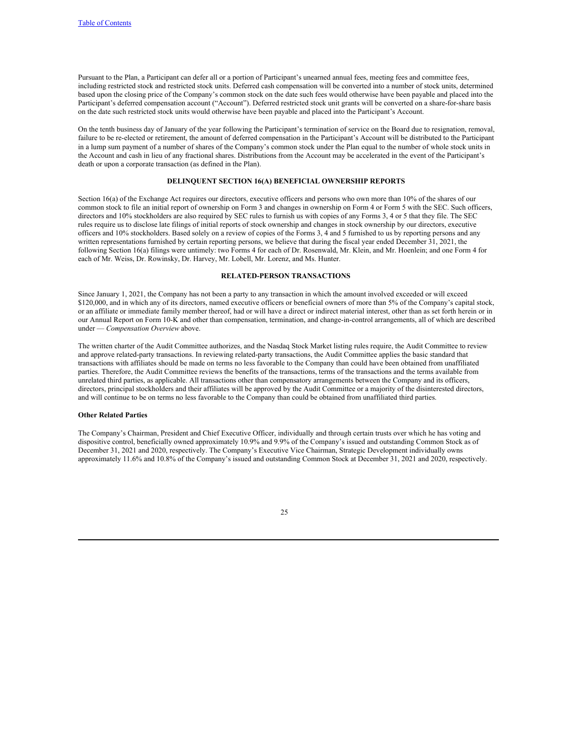Pursuant to the Plan, a Participant can defer all or a portion of Participant's unearned annual fees, meeting fees and committee fees, including restricted stock and restricted stock units. Deferred cash compensation will be converted into a number of stock units, determined based upon the closing price of the Company's common stock on the date such fees would otherwise have been payable and placed into the Participant's deferred compensation account ("Account"). Deferred restricted stock unit grants will be converted on a share-for-share basis on the date such restricted stock units would otherwise have been payable and placed into the Participant's Account.

On the tenth business day of January of the year following the Participant's termination of service on the Board due to resignation, removal, failure to be re-elected or retirement, the amount of deferred compensation in the Participant's Account will be distributed to the Participant in a lump sum payment of a number of shares of the Company's common stock under the Plan equal to the number of whole stock units in the Account and cash in lieu of any fractional shares. Distributions from the Account may be accelerated in the event of the Participant's death or upon a corporate transaction (as defined in the Plan).

#### **DELINQUENT SECTION 16(A) BENEFICIAL OWNERSHIP REPORTS**

Section 16(a) of the Exchange Act requires our directors, executive officers and persons who own more than 10% of the shares of our common stock to file an initial report of ownership on Form 3 and changes in ownership on Form 4 or Form 5 with the SEC. Such officers, directors and 10% stockholders are also required by SEC rules to furnish us with copies of any Forms 3, 4 or 5 that they file. The SEC rules require us to disclose late filings of initial reports of stock ownership and changes in stock ownership by our directors, executive officers and 10% stockholders. Based solely on a review of copies of the Forms 3, 4 and 5 furnished to us by reporting persons and any written representations furnished by certain reporting persons, we believe that during the fiscal year ended December 31, 2021, the following Section 16(a) filings were untimely: two Forms 4 for each of Dr. Rosenwald, Mr. Klein, and Mr. Hoenlein; and one Form 4 for each of Mr. Weiss, Dr. Rowinsky, Dr. Harvey, Mr. Lobell, Mr. Lorenz, and Ms. Hunter.

#### <span id="page-31-1"></span><span id="page-31-0"></span>**RELATED-PERSON TRANSACTIONS**

Since January 1, 2021, the Company has not been a party to any transaction in which the amount involved exceeded or will exceed \$120,000, and in which any of its directors, named executive officers or beneficial owners of more than 5% of the Company's capital stock, or an affiliate or immediate family member thereof, had or will have a direct or indirect material interest, other than as set forth herein or in our Annual Report on Form 10-K and other than compensation, termination, and change-in-control arrangements, all of which are described under — *Compensation Overview* above.

The written charter of the Audit Committee authorizes, and the Nasdaq Stock Market listing rules require, the Audit Committee to review and approve related-party transactions. In reviewing related-party transactions, the Audit Committee applies the basic standard that transactions with affiliates should be made on terms no less favorable to the Company than could have been obtained from unaffiliated parties. Therefore, the Audit Committee reviews the benefits of the transactions, terms of the transactions and the terms available from unrelated third parties, as applicable. All transactions other than compensatory arrangements between the Company and its officers, directors, principal stockholders and their affiliates will be approved by the Audit Committee or a majority of the disinterested directors, and will continue to be on terms no less favorable to the Company than could be obtained from unaffiliated third parties.

## **Other Related Parties**

The Company's Chairman, President and Chief Executive Officer, individually and through certain trusts over which he has voting and dispositive control, beneficially owned approximately 10.9% and 9.9% of the Company's issued and outstanding Common Stock as of December 31, 2021 and 2020, respectively. The Company's Executive Vice Chairman, Strategic Development individually owns approximately 11.6% and 10.8% of the Company's issued and outstanding Common Stock at December 31, 2021 and 2020, respectively.

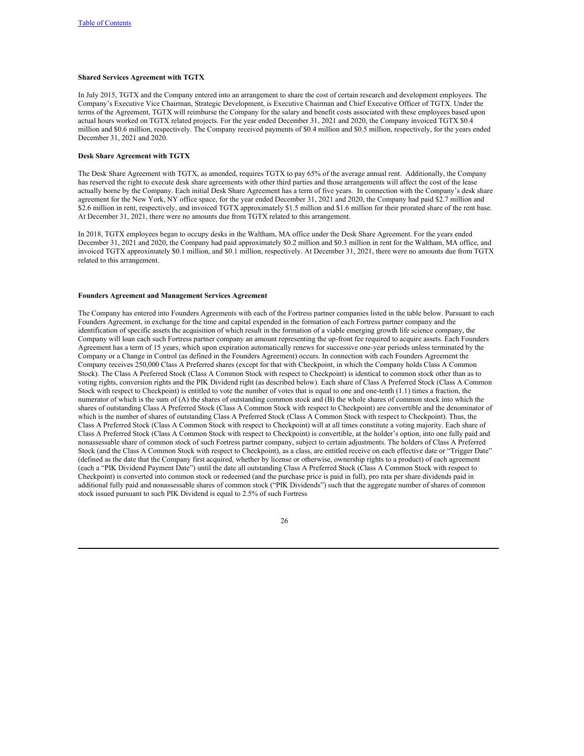# **Shared Services Agreement with TGTX**

In July 2015, TGTX and the Company entered into an arrangement to share the cost of certain research and development employees. The Company's Executive Vice Chairman, Strategic Development, is Executive Chairman and Chief Executive Officer of TGTX. Under the terms of the Agreement, TGTX will reimburse the Company for the salary and benefit costs associated with these employees based upon actual hours worked on TGTX related projects. For the year ended December 31, 2021 and 2020, the Company invoiced TGTX \$0.4 million and \$0.6 million, respectively. The Company received payments of \$0.4 million and \$0.5 million, respectively, for the years ended December 31, 2021 and 2020.

# **Desk Share Agreement with TGTX**

The Desk Share Agreement with TGTX, as amended, requires TGTX to pay 65% of the average annual rent. Additionally, the Company has reserved the right to execute desk share agreements with other third parties and those arrangements will affect the cost of the lease actually borne by the Company. Each initial Desk Share Agreement has a term of five years. In connection with the Company's desk share agreement for the New York, NY office space, for the year ended December 31, 2021 and 2020, the Company had paid \$2.7 million and \$2.6 million in rent, respectively, and invoiced TGTX approximately \$1.5 million and \$1.6 million for their prorated share of the rent base. At December 31, 2021, there were no amounts due from TGTX related to this arrangement.

In 2018, TGTX employees began to occupy desks in the Waltham, MA office under the Desk Share Agreement. For the years ended December 31, 2021 and 2020, the Company had paid approximately \$0.2 million and \$0.3 million in rent for the Waltham, MA office, and invoiced TGTX approximately \$0.1 million, and \$0.1 million, respectively. At December 31, 2021, there were no amounts due from TGTX related to this arrangement.

## **Founders Agreement and Management Services Agreement**

The Company has entered into Founders Agreements with each of the Fortress partner companies listed in the table below. Pursuant to each Founders Agreement, in exchange for the time and capital expended in the formation of each Fortress partner company and the identification of specific assets the acquisition of which result in the formation of a viable emerging growth life science company, the Company will loan each such Fortress partner company an amount representing the up-front fee required to acquire assets. Each Founders Agreement has a term of 15 years, which upon expiration automatically renews for successive one-year periods unless terminated by the Company or a Change in Control (as defined in the Founders Agreement) occurs. In connection with each Founders Agreement the Company receives 250,000 Class A Preferred shares (except for that with Checkpoint, in which the Company holds Class A Common Stock). The Class A Preferred Stock (Class A Common Stock with respect to Checkpoint) is identical to common stock other than as to voting rights, conversion rights and the PIK Dividend right (as described below). Each share of Class A Preferred Stock (Class A Common Stock with respect to Checkpoint) is entitled to vote the number of votes that is equal to one and one-tenth (1.1) times a fraction, the numerator of which is the sum of (A) the shares of outstanding common stock and (B) the whole shares of common stock into which the shares of outstanding Class A Preferred Stock (Class A Common Stock with respect to Checkpoint) are convertible and the denominator of which is the number of shares of outstanding Class A Preferred Stock (Class A Common Stock with respect to Checkpoint). Thus, the Class A Preferred Stock (Class A Common Stock with respect to Checkpoint) will at all times constitute a voting majority. Each share of Class A Preferred Stock (Class A Common Stock with respect to Checkpoint) is convertible, at the holder's option, into one fully paid and nonassessable share of common stock of such Fortress partner company, subject to certain adjustments. The holders of Class A Preferred Stock (and the Class A Common Stock with respect to Checkpoint), as a class, are entitled receive on each effective date or "Trigger Date" (defined as the date that the Company first acquired, whether by license or otherwise, ownership rights to a product) of each agreement (each a "PIK Dividend Payment Date") until the date all outstanding Class A Preferred Stock (Class A Common Stock with respect to Checkpoint) is converted into common stock or redeemed (and the purchase price is paid in full), pro rata per share dividends paid in additional fully paid and nonassessable shares of common stock ("PIK Dividends") such that the aggregate number of shares of common stock issued pursuant to such PIK Dividend is equal to 2.5% of such Fortress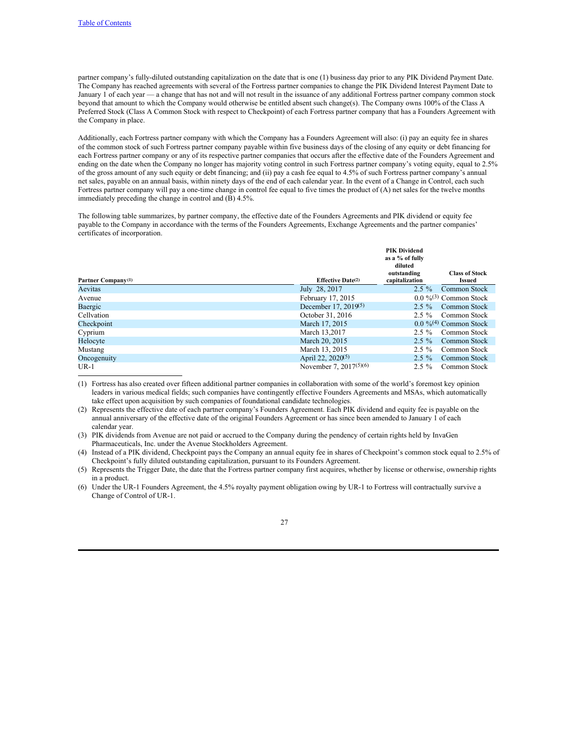partner company's fully-diluted outstanding capitalization on the date that is one (1) business day prior to any PIK Dividend Payment Date. The Company has reached agreements with several of the Fortress partner companies to change the PIK Dividend Interest Payment Date to January 1 of each year — a change that has not and will not result in the issuance of any additional Fortress partner company common stock beyond that amount to which the Company would otherwise be entitled absent such change(s). The Company owns 100% of the Class A Preferred Stock (Class A Common Stock with respect to Checkpoint) of each Fortress partner company that has a Founders Agreement with the Company in place.

Additionally, each Fortress partner company with which the Company has a Founders Agreement will also: (i) pay an equity fee in shares of the common stock of such Fortress partner company payable within five business days of the closing of any equity or debt financing for each Fortress partner company or any of its respective partner companies that occurs after the effective date of the Founders Agreement and ending on the date when the Company no longer has majority voting control in such Fortress partner company's voting equity, equal to 2.5% of the gross amount of any such equity or debt financing; and (ii) pay a cash fee equal to 4.5% of such Fortress partner company's annual net sales, payable on an annual basis, within ninety days of the end of each calendar year. In the event of a Change in Control, each such Fortress partner company will pay a one-time change in control fee equal to five times the product of (A) net sales for the twelve months immediately preceding the change in control and (B) 4.5%.

The following table summarizes, by partner company, the effective date of the Founders Agreements and PIK dividend or equity fee payable to the Company in accordance with the terms of the Founders Agreements, Exchange Agreements and the partner companies' certificates of incorporation.

| Partner Company <sup>(1)</sup> | Effective Date $(2)$             | -FIK DIVIGENG<br>as a % of fully<br>diluted<br>outstanding<br>capitalization | <b>Class of Stock</b><br>Issued     |
|--------------------------------|----------------------------------|------------------------------------------------------------------------------|-------------------------------------|
| Aevitas                        | July 28, 2017                    | $2.5\%$                                                                      | Common Stock                        |
| Avenue                         | February 17, 2015                |                                                                              | $0.0\%$ <sup>(3)</sup> Common Stock |
| Baergic                        | December 17, 2019 <sup>(5)</sup> | $2.5 \%$                                                                     | Common Stock                        |
| Cellvation                     | October 31, 2016                 | $2.5 \%$                                                                     | - Common Stock                      |
| Checkpoint                     | March 17, 2015                   |                                                                              | $0.0\%$ <sup>(4)</sup> Common Stock |
| Cyprium                        | March 13.2017                    | $2.5\%$                                                                      | Common Stock                        |
| Helocyte                       | March 20, 2015                   | $2.5\%$                                                                      | <b>Common Stock</b>                 |
| Mustang                        | March 13, 2015                   | $2.5 \%$                                                                     | Common Stock                        |
| Oncogenuity                    | April 22, 2020 <sup>(5)</sup>    | $2.5 \%$                                                                     | <b>Common Stock</b>                 |
| $UR-1$                         | November 7, $2017^{(5)(6)}$      | $2.5 \%$                                                                     | Common Stock                        |

**PIK Dividend**

(1) Fortress has also created over fifteen additional partner companies in collaboration with some of the world's foremost key opinion leaders in various medical fields; such companies have contingently effective Founders Agreements and MSAs, which automatically take effect upon acquisition by such companies of foundational candidate technologies.

(2) Represents the effective date of each partner company's Founders Agreement. Each PIK dividend and equity fee is payable on the annual anniversary of the effective date of the original Founders Agreement or has since been amended to January 1 of each calendar year.

(3) PIK dividends from Avenue are not paid or accrued to the Company during the pendency of certain rights held by InvaGen Pharmaceuticals, Inc. under the Avenue Stockholders Agreement.

(4) Instead of a PIK dividend, Checkpoint pays the Company an annual equity fee in shares of Checkpoint's common stock equal to 2.5% of Checkpoint's fully diluted outstanding capitalization, pursuant to its Founders Agreement.

(5) Represents the Trigger Date, the date that the Fortress partner company first acquires, whether by license or otherwise, ownership rights in a product.

(6) Under the UR-1 Founders Agreement, the 4.5% royalty payment obligation owing by UR-1 to Fortress will contractually survive a Change of Control of UR-1.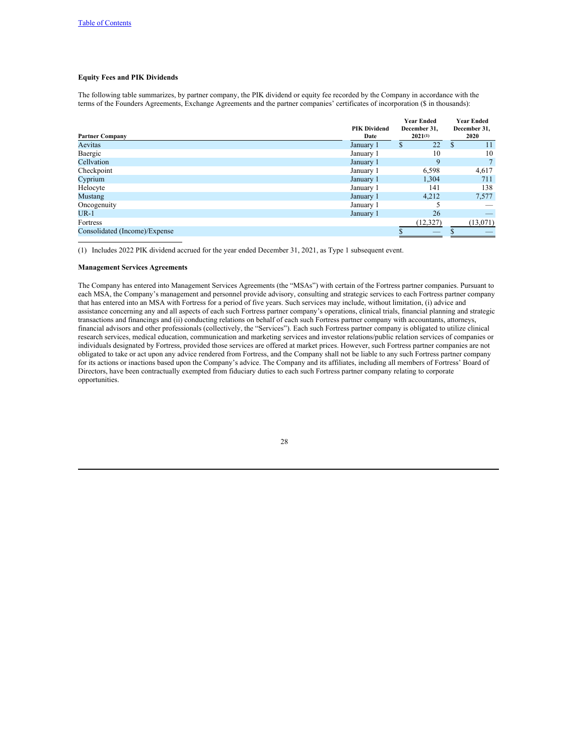# **Equity Fees and PIK Dividends**

The following table summarizes, by partner company, the PIK dividend or equity fee recorded by the Company in accordance with the terms of the Founders Agreements, Exchange Agreements and the partner companies' certificates of incorporation (\$ in thousands):

|                               | <b>PIK Dividend</b> | <b>Year Ended</b><br>December 31, | <b>Year Ended</b><br>December 31, |
|-------------------------------|---------------------|-----------------------------------|-----------------------------------|
| <b>Partner Company</b>        | Date                | $2021^{(1)}$                      | 2020                              |
| Aevitas                       | January 1           | 22<br>S                           | S<br>11                           |
| Baergic                       | January 1           | 10                                | 10                                |
| Cellvation                    | January 1           | 9                                 |                                   |
| Checkpoint                    | January 1           | 6,598                             | 4,617                             |
| Cyprium                       | January 1           | 1,304                             | 711                               |
| Helocyte                      | January 1           | 141                               | 138                               |
| <b>Mustang</b>                | January 1           | 4.212                             | 7,577                             |
| Oncogenuity                   | January 1           |                                   |                                   |
| $UR-1$                        | January 1           | 26                                |                                   |
| Fortress                      |                     | (12,327)                          | (13,071)                          |
| Consolidated (Income)/Expense |                     |                                   |                                   |

(1) Includes 2022 PIK dividend accrued for the year ended December 31, 2021, as Type 1 subsequent event.

## **Management Services Agreements**

The Company has entered into Management Services Agreements (the "MSAs") with certain of the Fortress partner companies. Pursuant to each MSA, the Company's management and personnel provide advisory, consulting and strategic services to each Fortress partner company that has entered into an MSA with Fortress for a period of five years. Such services may include, without limitation, (i) advice and assistance concerning any and all aspects of each such Fortress partner company's operations, clinical trials, financial planning and strategic transactions and financings and (ii) conducting relations on behalf of each such Fortress partner company with accountants, attorneys, financial advisors and other professionals (collectively, the "Services"). Each such Fortress partner company is obligated to utilize clinical research services, medical education, communication and marketing services and investor relations/public relation services of companies or individuals designated by Fortress, provided those services are offered at market prices. However, such Fortress partner companies are not obligated to take or act upon any advice rendered from Fortress, and the Company shall not be liable to any such Fortress partner company for its actions or inactions based upon the Company's advice. The Company and its affiliates, including all members of Fortress' Board of Directors, have been contractually exempted from fiduciary duties to each such Fortress partner company relating to corporate opportunities.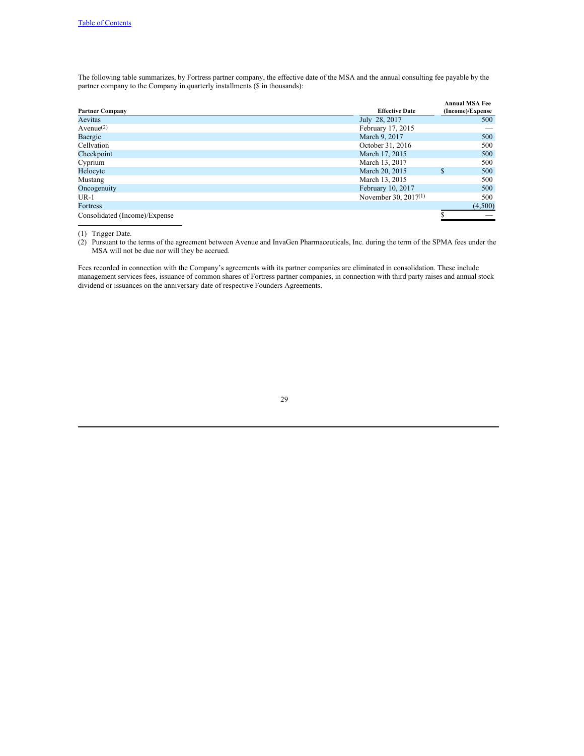The following table summarizes, by Fortress partner company, the effective date of the MSA and the annual consulting fee payable by the partner company to the Company in quarterly installments (\$ in thousands):

|                               |                         | <b>Annual MSA Fee</b> |
|-------------------------------|-------------------------|-----------------------|
| <b>Partner Company</b>        | <b>Effective Date</b>   | (Income)/Expense      |
| Aevitas                       | July 28, 2017           | 500                   |
| $A$ venue $(2)$               | February 17, 2015       |                       |
| Baergic                       | March 9, 2017           | 500                   |
| Cellvation                    | October 31, 2016        | 500                   |
| Checkpoint                    | March 17, 2015          | 500                   |
| Cyprium                       | March 13, 2017          | 500                   |
| Helocyte                      | March 20, 2015          | 500<br>\$.            |
| Mustang                       | March 13, 2015          | 500                   |
| Oncogenuity                   | February 10, 2017       | 500                   |
| $UR-1$                        | November 30, 2017 $(1)$ | 500                   |
| Fortress                      |                         | (4,500)               |
| Consolidated (Income)/Expense |                         |                       |

(1) Trigger Date.

(2) Pursuant to the terms of the agreement between Avenue and InvaGen Pharmaceuticals, Inc. during the term of the SPMA fees under the MSA will not be due nor will they be accrued.

Fees recorded in connection with the Company's agreements with its partner companies are eliminated in consolidation. These include management services fees, issuance of common shares of Fortress partner companies, in connection with third party raises and annual stock dividend or issuances on the anniversary date of respective Founders Agreements.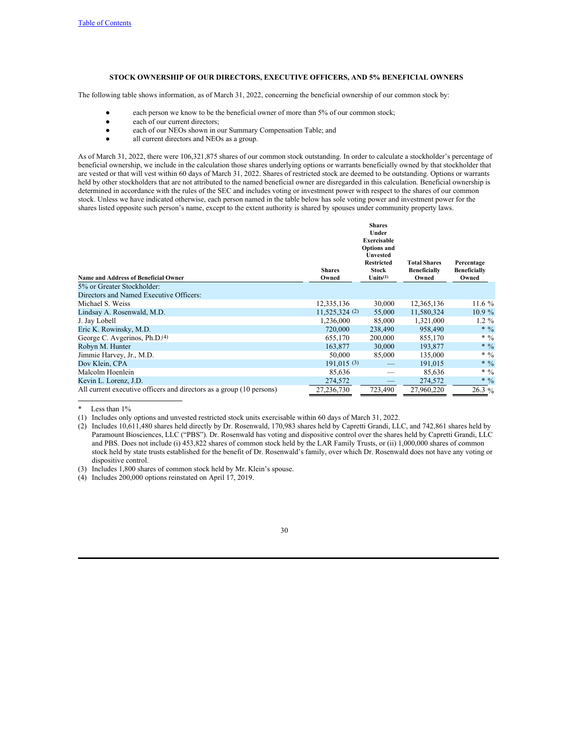# <span id="page-36-0"></span>**STOCK OWNERSHIP OF OUR DIRECTORS, EXECUTIVE OFFICERS, AND 5% BENEFICIAL OWNERS**

The following table shows information, as of March 31, 2022, concerning the beneficial ownership of our common stock by:

- each person we know to be the beneficial owner of more than 5% of our common stock;
- each of our current directors;
- each of our NEOs shown in our Summary Compensation Table; and
- all current directors and NEOs as a group.

As of March 31, 2022, there were 106,321,875 shares of our common stock outstanding. In order to calculate a stockholder's percentage of beneficial ownership, we include in the calculation those shares underlying options or warrants beneficially owned by that stockholder that are vested or that will vest within 60 days of March 31, 2022. Shares of restricted stock are deemed to be outstanding. Options or warrants held by other stockholders that are not attributed to the named beneficial owner are disregarded in this calculation. Beneficial ownership is determined in accordance with the rules of the SEC and includes voting or investment power with respect to the shares of our common stock. Unless we have indicated otherwise, each person named in the table below has sole voting power and investment power for the shares listed opposite such person's name, except to the extent authority is shared by spouses under community property laws.

| <b>Name and Address of Beneficial Owner</b>                          | <b>Shares</b><br>Owned | <b>Shares</b><br>Under<br><b>Exercisable</b><br><b>Options</b> and<br><b>Unvested</b><br><b>Restricted</b><br><b>Stock</b><br>$Units^{(1)}$ | <b>Total Shares</b><br><b>Beneficially</b><br>Owned | Percentage<br><b>Beneficially</b><br>Owned |
|----------------------------------------------------------------------|------------------------|---------------------------------------------------------------------------------------------------------------------------------------------|-----------------------------------------------------|--------------------------------------------|
| 5% or Greater Stockholder:                                           |                        |                                                                                                                                             |                                                     |                                            |
| Directors and Named Executive Officers:                              |                        |                                                                                                                                             |                                                     |                                            |
| Michael S. Weiss                                                     | 12,335,136             | 30,000                                                                                                                                      | 12,365,136                                          | 11.6 $%$                                   |
| Lindsay A. Rosenwald, M.D.                                           | $11,525,324$ (2)       | 55,000                                                                                                                                      | 11,580,324                                          | $10.9\%$                                   |
| J. Jay Lobell                                                        | 1,236,000              | 85,000                                                                                                                                      | 1,321,000                                           | $1.2 \%$                                   |
| Eric K. Rowinsky, M.D.                                               | 720,000                | 238,490                                                                                                                                     | 958,490                                             | * $\frac{0}{0}$                            |
| George C. Avgerinos, Ph.D. <sup>(4)</sup>                            | 655,170                | 200,000                                                                                                                                     | 855,170                                             | * $\frac{0}{0}$                            |
| Robyn M. Hunter                                                      | 163,877                | 30,000                                                                                                                                      | 193,877                                             | * $\frac{0}{0}$                            |
| Jimmie Harvey, Jr., M.D.                                             | 50,000                 | 85,000                                                                                                                                      | 135,000                                             | * $\frac{0}{0}$                            |
| Dov Klein, CPA                                                       | 191,015(3)             |                                                                                                                                             | 191,015                                             | * $\frac{0}{0}$                            |
| Malcolm Hoenlein                                                     | 85,636                 |                                                                                                                                             | 85,636                                              | * $\frac{0}{0}$                            |
| Kevin L. Lorenz, J.D.                                                | 274,572                |                                                                                                                                             | 274,572                                             | * $\frac{0}{0}$                            |
| All current executive officers and directors as a group (10 persons) | 27.236.730             | 723,490                                                                                                                                     | 27,960,220                                          | $26.3\%$                                   |

Less than 1%

(1) Includes only options and unvested restricted stock units exercisable within 60 days of March 31, 2022.

(2) Includes 10,611,480 shares held directly by Dr. Rosenwald, 170,983 shares held by Capretti Grandi, LLC, and 742,861 shares held by Paramount Biosciences, LLC ("PBS"). Dr. Rosenwald has voting and dispositive control over the shares held by Capretti Grandi, LLC and PBS. Does not include (i) 453,822 shares of common stock held by the LAR Family Trusts, or (ii) 1,000,000 shares of common stock held by state trusts established for the benefit of Dr. Rosenwald's family, over which Dr. Rosenwald does not have any voting or dispositive control.

(3) Includes 1,800 shares of common stock held by Mr. Klein's spouse.

(4) Includes 200,000 options reinstated on April 17, 2019.

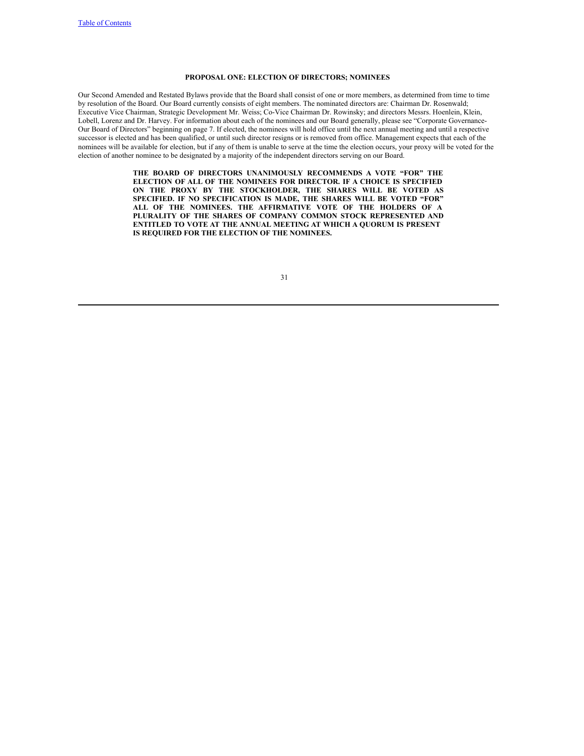# <span id="page-37-0"></span>**PROPOSAL ONE: ELECTION OF DIRECTORS; NOMINEES**

Our Second Amended and Restated Bylaws provide that the Board shall consist of one or more members, as determined from time to time by resolution of the Board. Our Board currently consists of eight members. The nominated directors are: Chairman Dr. Rosenwald; Executive Vice Chairman, Strategic Development Mr. Weiss; Co-Vice Chairman Dr. Rowinsky; and directors Messrs. Hoenlein, Klein, Lobell, Lorenz and Dr. Harvey. For information about each of the nominees and our Board generally, please see "Corporate Governance-Our Board of Directors" beginning on page 7. If elected, the nominees will hold office until the next annual meeting and until a respective successor is elected and has been qualified, or until such director resigns or is removed from office. Management expects that each of the nominees will be available for election, but if any of them is unable to serve at the time the election occurs, your proxy will be voted for the election of another nominee to be designated by a majority of the independent directors serving on our Board.

> **THE BOARD OF DIRECTORS UNANIMOUSLY RECOMMENDS A VOTE "FOR" THE ELECTION OF ALL OF THE NOMINEES FOR DIRECTOR. IF A CHOICE IS SPECIFIED ON THE PROXY BY THE STOCKHOLDER, THE SHARES WILL BE VOTED AS SPECIFIED. IF NO SPECIFICATION IS MADE, THE SHARES WILL BE VOTED "FOR" ALL OF THE NOMINEES. THE AFFIRMATIVE VOTE OF THE HOLDERS OF A PLURALITY OF THE SHARES OF COMPANY COMMON STOCK REPRESENTED AND ENTITLED TO VOTE AT THE ANNUAL MEETING AT WHICH A QUORUM IS PRESENT IS REQUIRED FOR THE ELECTION OF THE NOMINEES.**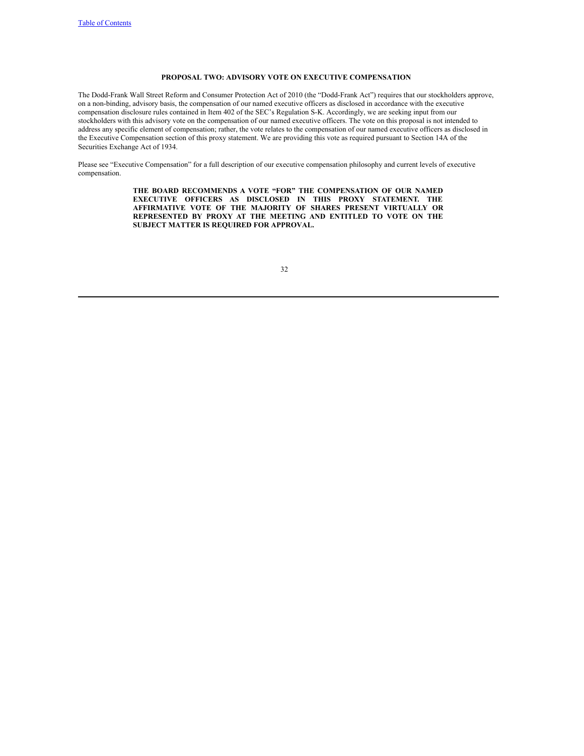# <span id="page-38-0"></span>**PROPOSAL TWO: ADVISORY VOTE ON EXECUTIVE COMPENSATION**

The Dodd-Frank Wall Street Reform and Consumer Protection Act of 2010 (the "Dodd-Frank Act") requires that our stockholders approve, on a non-binding, advisory basis, the compensation of our named executive officers as disclosed in accordance with the executive compensation disclosure rules contained in Item 402 of the SEC's Regulation S-K. Accordingly, we are seeking input from our stockholders with this advisory vote on the compensation of our named executive officers. The vote on this proposal is not intended to address any specific element of compensation; rather, the vote relates to the compensation of our named executive officers as disclosed in the Executive Compensation section of this proxy statement. We are providing this vote as required pursuant to Section 14A of the Securities Exchange Act of 1934.

Please see "Executive Compensation" for a full description of our executive compensation philosophy and current levels of executive compensation.

> **THE BOARD RECOMMENDS A VOTE "FOR" THE COMPENSATION OF OUR NAMED EXECUTIVE OFFICERS AS DISCLOSED IN THIS PROXY STATEMENT. THE AFFIRMATIVE VOTE OF THE MAJORITY OF SHARES PRESENT VIRTUALLY OR REPRESENTED BY PROXY AT THE MEETING AND ENTITLED TO VOTE ON THE SUBJECT MATTER IS REQUIRED FOR APPROVAL.**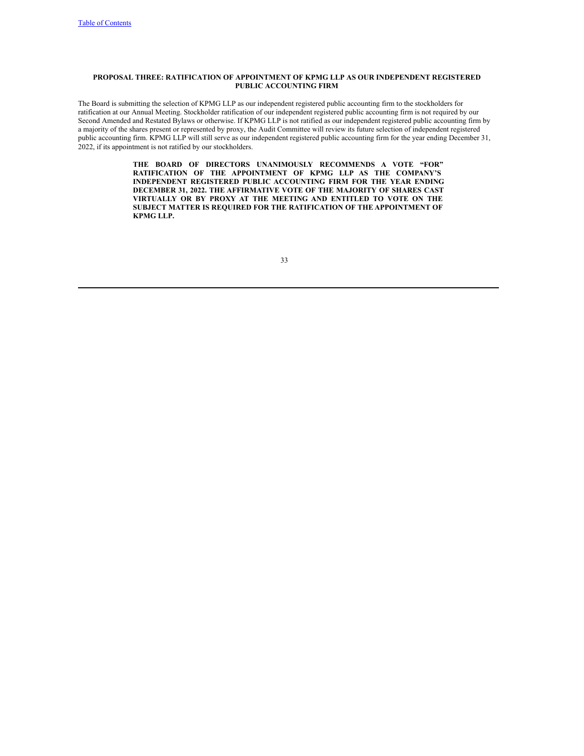# **PROPOSAL THREE: RATIFICATION OF APPOINTMENT OF KPMG LLP AS OUR INDEPENDENT REGISTERED PUBLIC ACCOUNTING FIRM**

The Board is submitting the selection of KPMG LLP as our independent registered public accounting firm to the stockholders for ratification at our Annual Meeting. Stockholder ratification of our independent registered public accounting firm is not required by our Second Amended and Restated Bylaws or otherwise. If KPMG LLP is not ratified as our independent registered public accounting firm by a majority of the shares present or represented by proxy, the Audit Committee will review its future selection of independent registered public accounting firm. KPMG LLP will still serve as our independent registered public accounting firm for the year ending December 31, 2022, if its appointment is not ratified by our stockholders.

> <span id="page-39-0"></span>**THE BOARD OF DIRECTORS UNANIMOUSLY RECOMMENDS A VOTE "FOR" RATIFICATION OF THE APPOINTMENT OF KPMG LLP AS THE COMPANY'S INDEPENDENT REGISTERED PUBLIC ACCOUNTING FIRM FOR THE YEAR ENDING DECEMBER 31, 2022. THE AFFIRMATIVE VOTE OF THE MAJORITY OF SHARES CAST VIRTUALLY OR BY PROXY AT THE MEETING AND ENTITLED TO VOTE ON THE SUBJECT MATTER IS REQUIRED FOR THE RATIFICATION OF THE APPOINTMENT OF KPMG LLP.**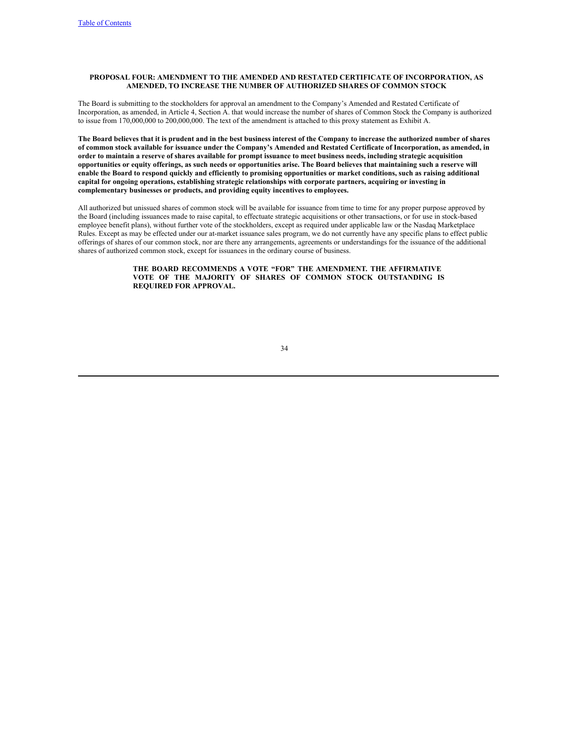# <span id="page-40-0"></span>**PROPOSAL FOUR: AMENDMENT TO THE AMENDED AND RESTATED CERTIFICATE OF INCORPORATION, AS AMENDED, TO INCREASE THE NUMBER OF AUTHORIZED SHARES OF COMMON STOCK**

The Board is submitting to the stockholders for approval an amendment to the Company's Amended and Restated Certificate of Incorporation, as amended, in Article 4, Section A. that would increase the number of shares of Common Stock the Company is authorized to issue from 170,000,000 to 200,000,000. The text of the amendment is attached to this proxy statement as Exhibit A.

The Board believes that it is prudent and in the best business interest of the Company to increase the authorized number of shares of common stock available for issuance under the Company's Amended and Restated Certificate of Incorporation, as amended, in order to maintain a reserve of shares available for prompt issuance to meet business needs, including strategic acquisition opportunities or equity offerings, as such needs or opportunities arise. The Board believes that maintaining such a reserve will enable the Board to respond quickly and efficiently to promising opportunities or market conditions, such as raising additional **capital for ongoing operations, establishing strategic relationships with corporate partners, acquiring or investing in complementary businesses or products, and providing equity incentives to employees.**

All authorized but unissued shares of common stock will be available for issuance from time to time for any proper purpose approved by the Board (including issuances made to raise capital, to effectuate strategic acquisitions or other transactions, or for use in stock-based employee benefit plans), without further vote of the stockholders, except as required under applicable law or the Nasdaq Marketplace Rules. Except as may be effected under our at-market issuance sales program, we do not currently have any specific plans to effect public offerings of shares of our common stock, nor are there any arrangements, agreements or understandings for the issuance of the additional shares of authorized common stock, except for issuances in the ordinary course of business.

# **THE BOARD RECOMMENDS A VOTE "FOR" THE AMENDMENT. THE AFFIRMATIVE VOTE OF THE MAJORITY OF SHARES OF COMMON STOCK OUTSTANDING IS REQUIRED FOR APPROVAL.**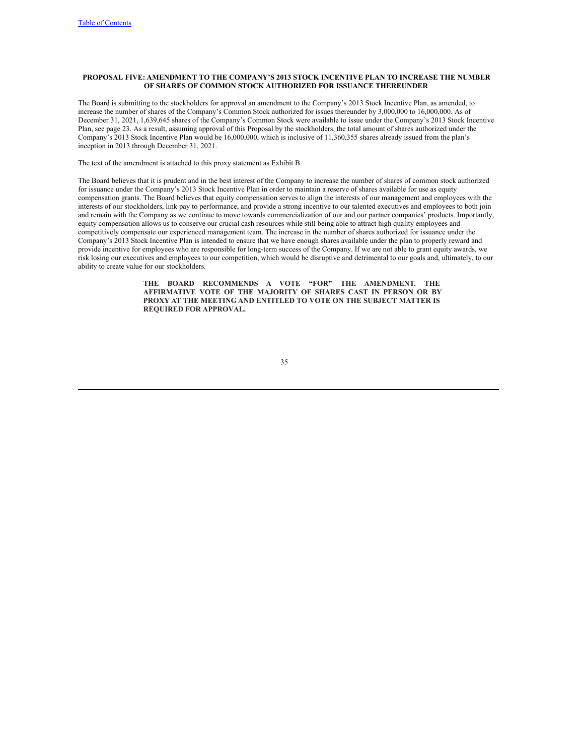# <span id="page-41-0"></span>**PROPOSAL FIVE: AMENDMENT TO THE COMPANY'S 2013 STOCK INCENTIVE PLAN TO INCREASE THE NUMBER OF SHARES OF COMMON STOCK AUTHORIZED FOR ISSUANCE THEREUNDER**

The Board is submitting to the stockholders for approval an amendment to the Company's 2013 Stock Incentive Plan, as amended, to increase the number of shares of the Company's Common Stock authorized for issues thereunder by 3,000,000 to 16,000,000. As of December 31, 2021, 1,639,645 shares of the Company's Common Stock were available to issue under the Company's 2013 Stock Incentive Plan, see page 23. As a result, assuming approval of this Proposal by the stockholders, the total amount of shares authorized under the Company's 2013 Stock Incentive Plan would be 16,000,000, which is inclusive of 11,360,355 shares already issued from the plan's inception in 2013 through December 31, 2021.

The text of the amendment is attached to this proxy statement as Exhibit B.

The Board believes that it is prudent and in the best interest of the Company to increase the number of shares of common stock authorized for issuance under the Company's 2013 Stock Incentive Plan in order to maintain a reserve of shares available for use as equity compensation grants. The Board believes that equity compensation serves to align the interests of our management and employees with the interests of our stockholders, link pay to performance, and provide a strong incentive to our talented executives and employees to both join and remain with the Company as we continue to move towards commercialization of our and our partner companies' products. Importantly, equity compensation allows us to conserve our crucial cash resources while still being able to attract high quality employees and competitively compensate our experienced management team. The increase in the number of shares authorized for issuance under the Company's 2013 Stock Incentive Plan is intended to ensure that we have enough shares available under the plan to properly reward and provide incentive for employees who are responsible for long-term success of the Company. If we are not able to grant equity awards, we risk losing our executives and employees to our competition, which would be disruptive and detrimental to our goals and, ultimately, to our ability to create value for our stockholders.

> **THE BOARD RECOMMENDS A VOTE "FOR" THE AMENDMENT. THE AFFIRMATIVE VOTE OF THE MAJORITY OF SHARES CAST IN PERSON OR BY PROXY AT THE MEETING AND ENTITLED TO VOTE ON THE SUBJECT MATTER IS REQUIRED FOR APPROVAL.**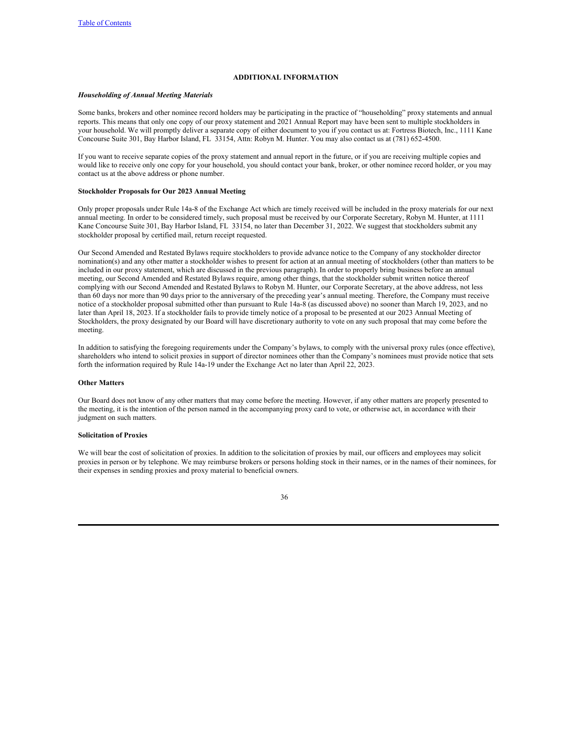# <span id="page-42-0"></span>**ADDITIONAL INFORMATION**

### *Householding of Annual Meeting Materials*

Some banks, brokers and other nominee record holders may be participating in the practice of "householding" proxy statements and annual reports. This means that only one copy of our proxy statement and 2021 Annual Report may have been sent to multiple stockholders in your household. We will promptly deliver a separate copy of either document to you if you contact us at: Fortress Biotech, Inc., 1111 Kane Concourse Suite 301, Bay Harbor Island, FL 33154, Attn: Robyn M. Hunter. You may also contact us at (781) 652-4500.

If you want to receive separate copies of the proxy statement and annual report in the future, or if you are receiving multiple copies and would like to receive only one copy for your household, you should contact your bank, broker, or other nominee record holder, or you may contact us at the above address or phone number.

## **Stockholder Proposals for Our 2023 Annual Meeting**

Only proper proposals under Rule 14a-8 of the Exchange Act which are timely received will be included in the proxy materials for our next annual meeting. In order to be considered timely, such proposal must be received by our Corporate Secretary, Robyn M. Hunter, at 1111 Kane Concourse Suite 301, Bay Harbor Island, FL 33154, no later than December 31, 2022. We suggest that stockholders submit any stockholder proposal by certified mail, return receipt requested.

Our Second Amended and Restated Bylaws require stockholders to provide advance notice to the Company of any stockholder director nomination(s) and any other matter a stockholder wishes to present for action at an annual meeting of stockholders (other than matters to be included in our proxy statement, which are discussed in the previous paragraph). In order to properly bring business before an annual meeting, our Second Amended and Restated Bylaws require, among other things, that the stockholder submit written notice thereof complying with our Second Amended and Restated Bylaws to Robyn M. Hunter, our Corporate Secretary, at the above address, not less than 60 days nor more than 90 days prior to the anniversary of the preceding year's annual meeting. Therefore, the Company must receive notice of a stockholder proposal submitted other than pursuant to Rule 14a-8 (as discussed above) no sooner than March 19, 2023, and no later than April 18, 2023. If a stockholder fails to provide timely notice of a proposal to be presented at our 2023 Annual Meeting of Stockholders, the proxy designated by our Board will have discretionary authority to vote on any such proposal that may come before the meeting.

In addition to satisfying the foregoing requirements under the Company's bylaws, to comply with the universal proxy rules (once effective), shareholders who intend to solicit proxies in support of director nominees other than the Company's nominees must provide notice that sets forth the information required by Rule 14a-19 under the Exchange Act no later than April 22, 2023.

## **Other Matters**

Our Board does not know of any other matters that may come before the meeting. However, if any other matters are properly presented to the meeting, it is the intention of the person named in the accompanying proxy card to vote, or otherwise act, in accordance with their judgment on such matters.

# **Solicitation of Proxies**

We will bear the cost of solicitation of proxies. In addition to the solicitation of proxies by mail, our officers and employees may solicit proxies in person or by telephone. We may reimburse brokers or persons holding stock in their names, or in the names of their nominees, for their expenses in sending proxies and proxy material to beneficial owners.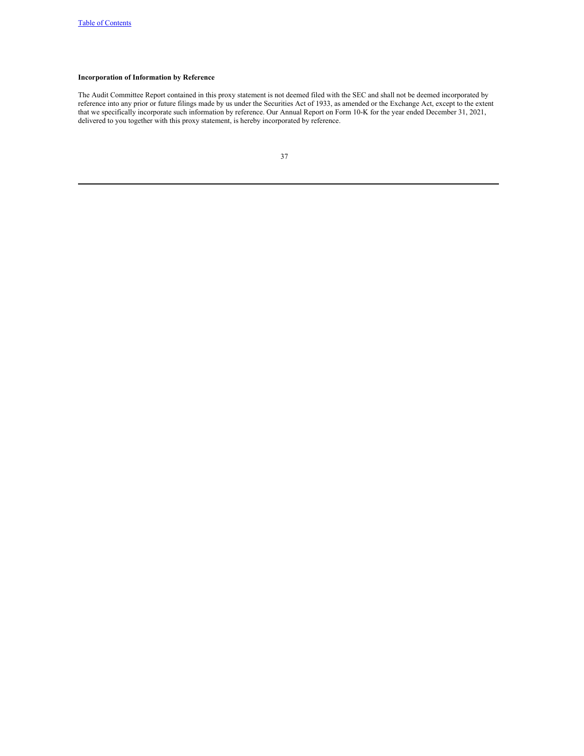# **Incorporation of Information by Reference**

The Audit Committee Report contained in this proxy statement is not deemed filed with the SEC and shall not be deemed incorporated by reference into any prior or future filings made by us under the Securities Act of 1933, as amended or the Exchange Act, except to the extent that we specifically incorporate such information by reference. Our Annual Report on Form 10-K for the year ended December 31, 2021, delivered to you together with this proxy statement, is hereby incorporated by reference.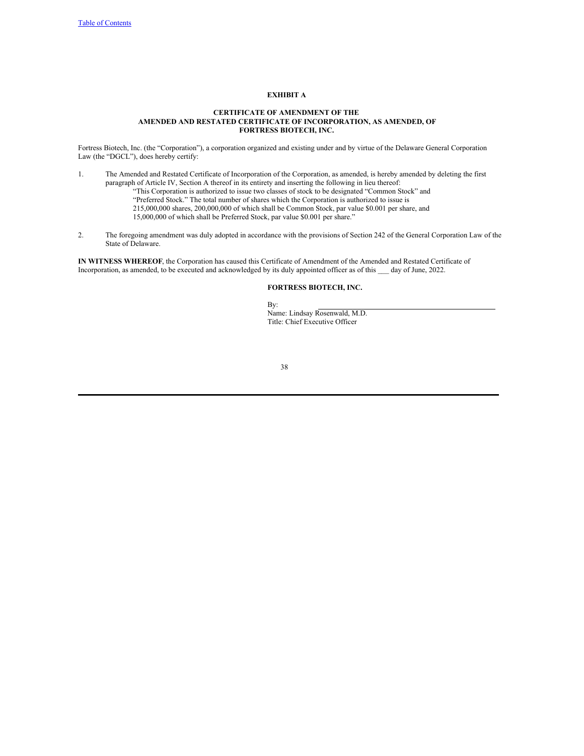# <span id="page-44-0"></span>**EXHIBIT A**

## **CERTIFICATE OF AMENDMENT OF THE AMENDED AND RESTATED CERTIFICATE OF INCORPORATION, AS AMENDED, OF FORTRESS BIOTECH, INC.**

Fortress Biotech, Inc. (the "Corporation"), a corporation organized and existing under and by virtue of the Delaware General Corporation Law (the "DGCL"), does hereby certify:

- 1. The Amended and Restated Certificate of Incorporation of the Corporation, as amended, is hereby amended by deleting the first paragraph of Article IV, Section A thereof in its entirety and inserting the following in lieu thereof: "This Corporation is authorized to issue two classes of stock to be designated "Common Stock" and "Preferred Stock." The total number of shares which the Corporation is authorized to issue is 215,000,000 shares, 200,000,000 of which shall be Common Stock, par value \$0.001 per share, and 15,000,000 of which shall be Preferred Stock, par value \$0.001 per share."
- 2. The foregoing amendment was duly adopted in accordance with the provisions of Section 242 of the General Corporation Law of the State of Delaware.

**IN WITNESS WHEREOF**, the Corporation has caused this Certificate of Amendment of the Amended and Restated Certificate of Incorporation, as amended, to be executed and acknowledged by its duly appointed officer as of this \_\_\_ day of June, 2022.

# **FORTRESS BIOTECH, INC.**

By: Name: Lindsay Rosenwald, M.D. Title: Chief Executive Officer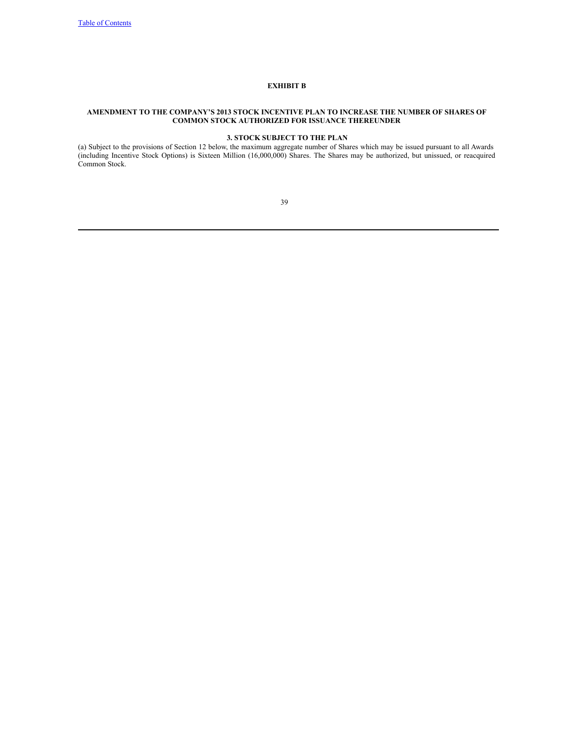# **EXHIBIT B**

## **AMENDMENT TO THE COMPANY'S 2013 STOCK INCENTIVE PLAN TO INCREASE THE NUMBER OF SHARES OF COMMON STOCK AUTHORIZED FOR ISSUANCE THEREUNDER**

# **3. STOCK SUBJECT TO THE PLAN**

(a) Subject to the provisions of Section 12 below, the maximum aggregate number of Shares which may be issued pursuant to all Awards (including Incentive Stock Options) is Sixteen Million (16,000,000) Shares. The Shares may be authorized, but unissued, or reacquired Common Stock.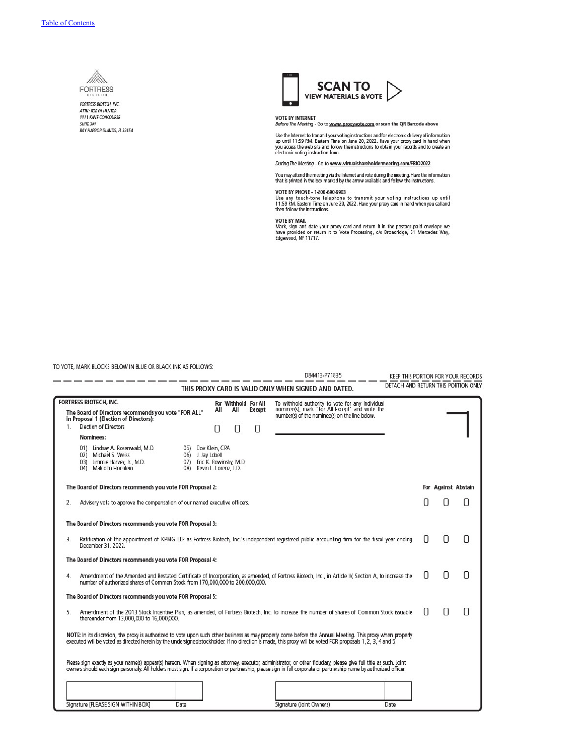

FORTRESS BIOTECH, INC. ATTN: ROBYN HUNTER 1111 KANE CONCOURSE **SUITE 301** BAY HARBOR SLANDS, R. 33154



VOTE BY INTERNET<br>*Before The Meeting -* Go to <u>www.proxyvote.com</u> or scan the QR Barcode above

Use the Internet to transmit your voting instructions and for electronic delivery of information up until 11:59 PM. Eastern Time on June 10, 2022. Have your proxy card in hand when you access the web site and follow the i

During The Meeting - Go to www.virtualshareholdermeeting.com/FBIO2022

You may attend the meeting via the Internet and vote during the meeting. Have the information<br>that is printed in the box marked by the arrow available and follow the instructions.

VOTE BY PHONE - 1-800-690-6903<br>Use any touch-tone telephone to transmit your voting instructions up until<br>11:59 PM. Eastern Time on June 20, 2022. Have your proxy card in hand when you call and<br>then follow the instructions

VOTE BY MAIL<br>Mark, sign and date your proxy card and return it in the postage-paid envelope we<br>have provided or return it to Vote Processing, c/o Broadridge, 51 Mercedes Way,<br>Edgewood, NY 11717.

TO VOTE, MARK BLOCKS BELOW IN BLUE OR BLACK INK AS FOLLOWS:

l,

|    | O VOTE, IVIARR BLOCKS BELOW IN BLUE OR BLACK INK AS                                                                                                             |                                                                              |                    |                             |              | D84413-P71835                                                                                                                                                                                                                                                                                                                             |   |                     | KEEP THIS PORTION FOR YOUR RECORDS  |
|----|-----------------------------------------------------------------------------------------------------------------------------------------------------------------|------------------------------------------------------------------------------|--------------------|-----------------------------|--------------|-------------------------------------------------------------------------------------------------------------------------------------------------------------------------------------------------------------------------------------------------------------------------------------------------------------------------------------------|---|---------------------|-------------------------------------|
|    |                                                                                                                                                                 |                                                                              |                    |                             |              | THIS PROXY CARD IS VALID ONLY WHEN SIGNED AND DATED.                                                                                                                                                                                                                                                                                      |   |                     | DETACH AND RETURN THIS PORTION ONLY |
| 1. | <b>FORTRESS BIOTECH, INC.</b><br>The Board of Directors recommends you vote "FOR ALL"<br>in Proposal 1 (Election of Directors):<br><b>Election of Directors</b> |                                                                              | All<br>0           | For Withhold For All<br>All | Except<br>11 | To withhold authority to vote for any individual<br>nominee(s), mark "For All Except" and write the<br>number(s) of the nominee(s) on the line below.                                                                                                                                                                                     |   |                     |                                     |
|    | Nominees:                                                                                                                                                       |                                                                              |                    |                             |              |                                                                                                                                                                                                                                                                                                                                           |   |                     |                                     |
|    | 01) Lindsay A. Rosenwald, M.D.<br>02) Michael S. Weiss<br>03) Jimmie Harvey, Jr., M.D.<br>Malcolm Hoenlein<br>04)                                               | 06) J. Jay Lobell<br>07) Eric K. Rowinsky, M.D.<br>08) Kevin L. Lorenz, J.D. | 05) Dov Klein, CPA |                             |              |                                                                                                                                                                                                                                                                                                                                           |   |                     |                                     |
|    | The Board of Directors recommends you vote FOR Proposal 2:                                                                                                      |                                                                              |                    |                             |              |                                                                                                                                                                                                                                                                                                                                           |   | For Against Abstain |                                     |
| 2. | Advisory vote to approve the compensation of our named executive officers.                                                                                      |                                                                              |                    |                             |              |                                                                                                                                                                                                                                                                                                                                           |   | Π                   | П                                   |
|    | The Board of Directors recommends you vote FOR Proposal 3:                                                                                                      |                                                                              |                    |                             |              |                                                                                                                                                                                                                                                                                                                                           |   |                     |                                     |
| 3. | December 31, 2022.                                                                                                                                              |                                                                              |                    |                             |              | Ratification of the appointment of KPMG LLP as Fortress Biotech, Inc.'s independent registered public accounting firm for the fiscal year ending                                                                                                                                                                                          | П | Π                   |                                     |
|    | The Board of Directors recommends you vote FOR Proposal 4:                                                                                                      |                                                                              |                    |                             |              |                                                                                                                                                                                                                                                                                                                                           |   |                     |                                     |
| 4. | number of authorized shares of Common Stock from 170,000,000 to 200,000,000.                                                                                    |                                                                              |                    |                             |              | Amendment of the Amended and Restated Certificate of Incorporation, as amended, of Fortress Biotech, Inc., in Article IV, Section A, to increase the                                                                                                                                                                                      | П | 0                   | Π                                   |
|    | The Board of Directors recommends you vote FOR Proposal 5:                                                                                                      |                                                                              |                    |                             |              |                                                                                                                                                                                                                                                                                                                                           |   |                     |                                     |
| 5. | thereunder from 13,000,000 to 16,000,000.                                                                                                                       |                                                                              |                    |                             |              | Amendment of the 2013 Stock Incentive Plan, as amended, of Fortress Biotech, Inc. to increase the number of shares of Common Stock issuable                                                                                                                                                                                               | П | Ω                   | Π                                   |
|    |                                                                                                                                                                 |                                                                              |                    |                             |              | NOTE: In its discretion, the proxy is authorized to vote upon such other business as may properly come before the Annual Meeting. This proxy when properly<br>executed will be voted as directed herein by the undersigned stockholder. If no direction is made, this proxy will be voted FOR proposals 1, 2, 3, 4 and 5.                 |   |                     |                                     |
|    |                                                                                                                                                                 |                                                                              |                    |                             |              | Please sign exactly as your name(s) appear(s) hereon. When signing as attorney, executor, administrator, or other fidugary, please give full title as such, Joint<br>owners should each sign personally. All holders must sign. If a corporation or partnership, please sign in full corporate or partnership name by authorized officer. |   |                     |                                     |
|    |                                                                                                                                                                 |                                                                              |                    |                             |              |                                                                                                                                                                                                                                                                                                                                           |   |                     |                                     |
|    | Signature [PLEASE SIGN WITHIN BOX]                                                                                                                              | Date                                                                         |                    |                             |              | Signature (Joint Owners)<br>Date                                                                                                                                                                                                                                                                                                          |   |                     |                                     |